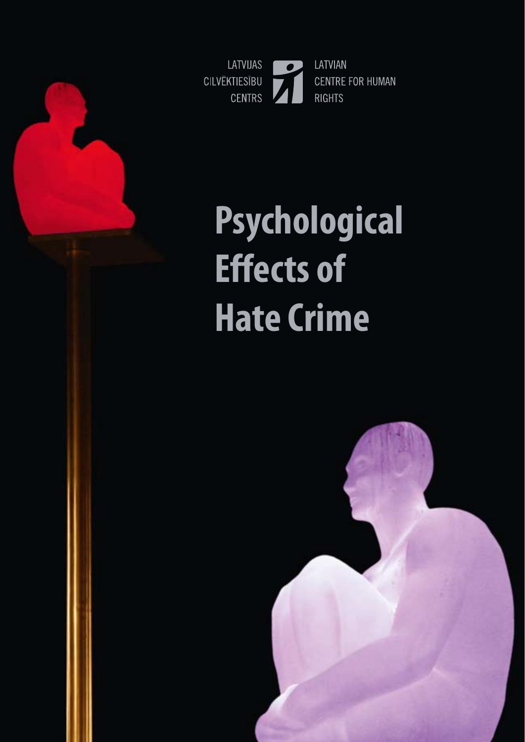

# **Psychological Effects of Hate Crime**

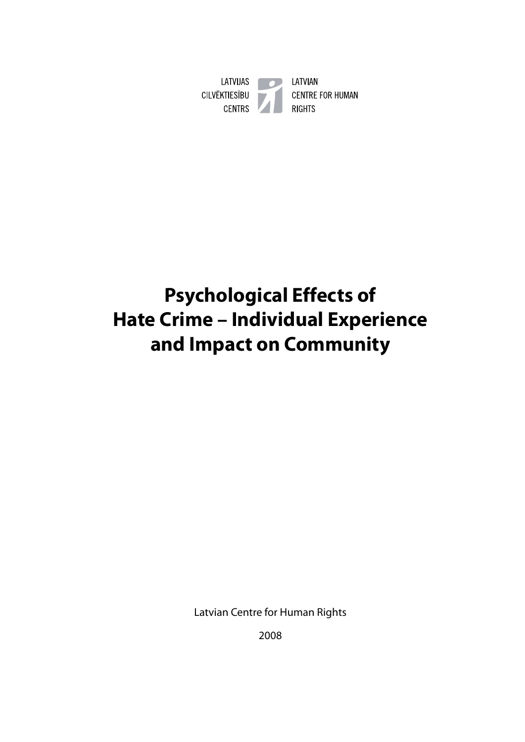

# **Psychological Effects of Hate Crime – Individual Experience and Impact on Community**

Latvian Centre for Human Rights

2008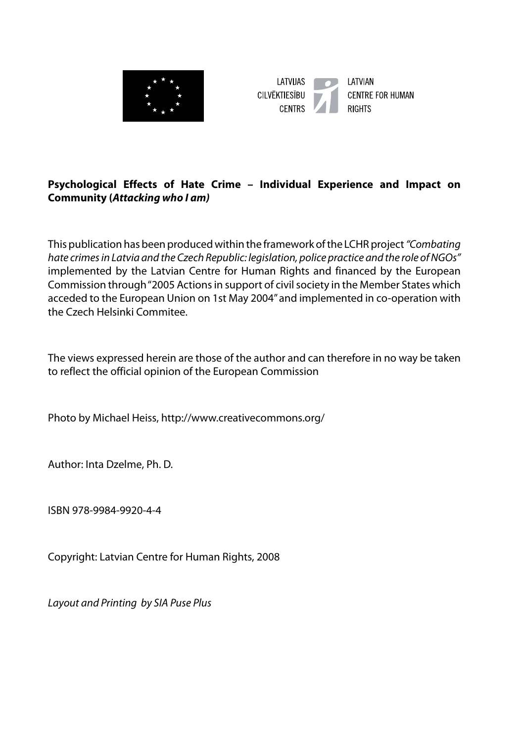



#### **Psychological Effects of Hate Crime – Individual Experience and Impact on Community (***Attacking who I am)*

This publication has been produced within the framework of the LCHR project *"Combating hate crimes in Latvia and the Czech Republic: legislation, police practice and the role of NGOs"*  implemented by the Latvian Centre for Human Rights and financed by the European Commission through "2005 Actions in support of civil society in the Member States which acceded to the European Union on 1st May 2004" and implemented in co-operation with the Czech Helsinki Commitee.

The views expressed herein are those of the author and can therefore in no way be taken to reflect the official opinion of the European Commission

Photo by Michael Heiss, http://www.creativecommons.org/

Author: Inta Dzelme, Ph. D.

ISBN 978-9984-9920-4-4

Copyright: Latvian Centre for Human Rights, 2008

*Layout and Printing by SIA Puse Plus*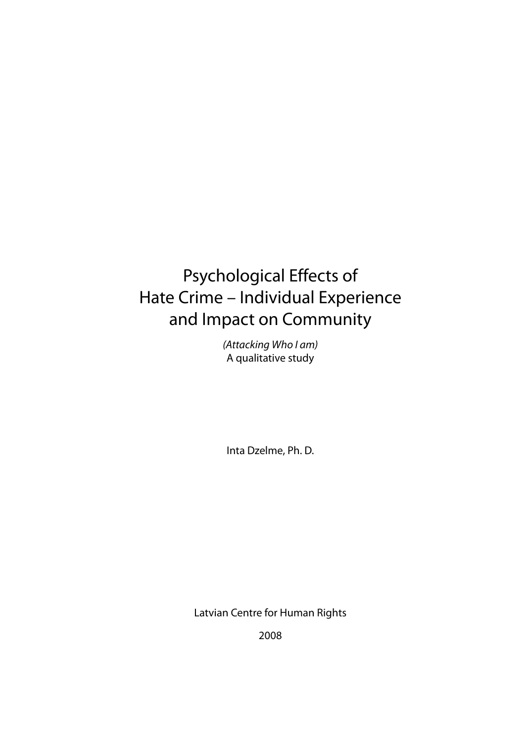# Psychological Effects of Hate Crime – Individual Experience and Impact on Community

*(Attacking Who I am)* A qualitative study

Inta Dzelme, Ph. D.

Latvian Centre for Human Rights

2008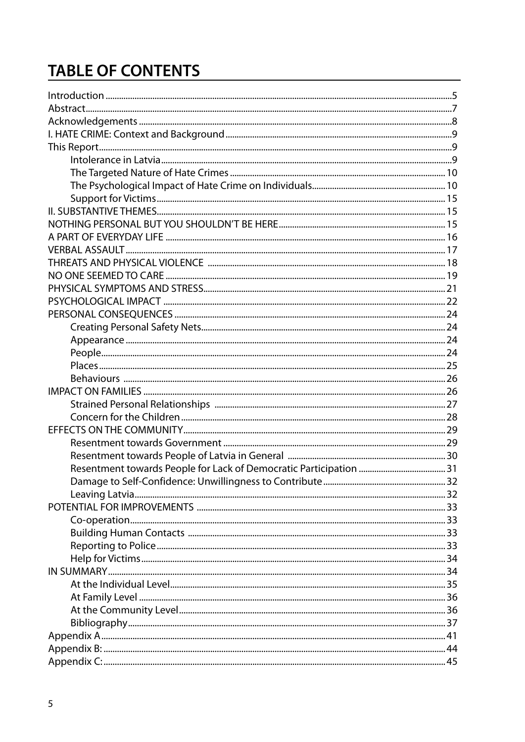# **TABLE OF CONTENTS**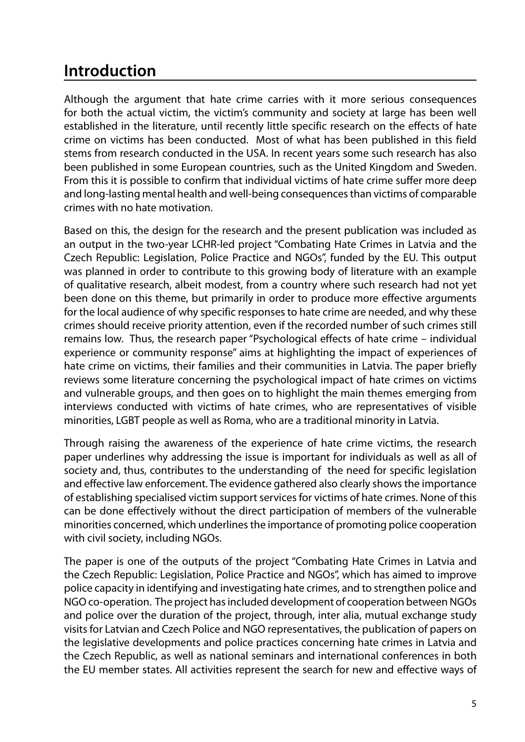# **Introduction**

Although the argument that hate crime carries with it more serious consequences for both the actual victim, the victim's community and society at large has been well established in the literature, until recently little specific research on the effects of hate crime on victims has been conducted. Most of what has been published in this field stems from research conducted in the USA. In recent years some such research has also been published in some European countries, such as the United Kingdom and Sweden. From this it is possible to confirm that individual victims of hate crime suffer more deep and long-lasting mental health and well-being consequences than victims of comparable crimes with no hate motivation.

Based on this, the design for the research and the present publication was included as an output in the two-year LCHR-led project "Combating Hate Crimes in Latvia and the Czech Republic: Legislation, Police Practice and NGOs", funded by the EU. This output was planned in order to contribute to this growing body of literature with an example of qualitative research, albeit modest, from a country where such research had not yet been done on this theme, but primarily in order to produce more effective arguments for the local audience of why specific responses to hate crime are needed, and why these crimes should receive priority attention, even if the recorded number of such crimes still remains low. Thus, the research paper "Psychological effects of hate crime – individual experience or community response" aims at highlighting the impact of experiences of hate crime on victims, their families and their communities in Latvia. The paper briefly reviews some literature concerning the psychological impact of hate crimes on victims and vulnerable groups, and then goes on to highlight the main themes emerging from interviews conducted with victims of hate crimes, who are representatives of visible minorities, LGBT people as well as Roma, who are a traditional minority in Latvia.

Through raising the awareness of the experience of hate crime victims, the research paper underlines why addressing the issue is important for individuals as well as all of society and, thus, contributes to the understanding of the need for specific legislation and effective law enforcement. The evidence gathered also clearly shows the importance of establishing specialised victim support services for victims of hate crimes. None of this can be done effectively without the direct participation of members of the vulnerable minorities concerned, which underlines the importance of promoting police cooperation with civil society, including NGOs.

The paper is one of the outputs of the project "Combating Hate Crimes in Latvia and the Czech Republic: Legislation, Police Practice and NGOs", which has aimed to improve police capacity in identifying and investigating hate crimes, and to strengthen police and NGO co-operation. The project has included development of cooperation between NGOs and police over the duration of the project, through, inter alia, mutual exchange study visits for Latvian and Czech Police and NGO representatives, the publication of papers on the legislative developments and police practices concerning hate crimes in Latvia and the Czech Republic, as well as national seminars and international conferences in both the EU member states. All activities represent the search for new and effective ways of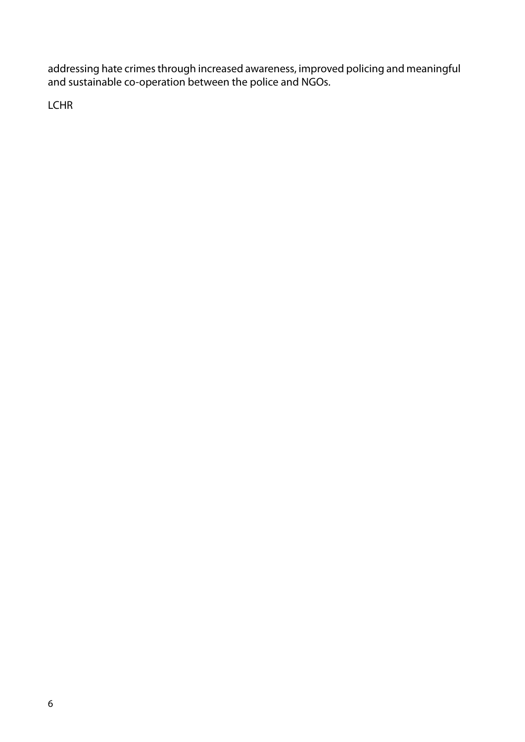addressing hate crimes through increased awareness, improved policing and meaningful and sustainable co-operation between the police and NGOs.

LCHR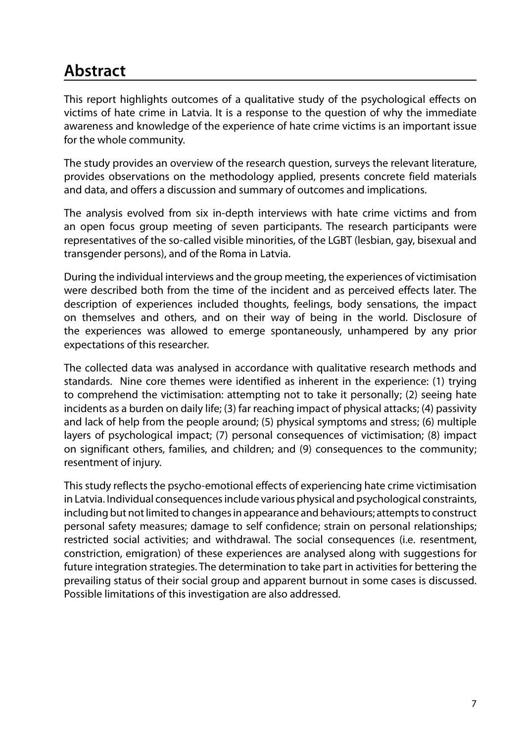# **Abstract**

This report highlights outcomes of a qualitative study of the psychological effects on victims of hate crime in Latvia. It is a response to the question of why the immediate awareness and knowledge of the experience of hate crime victims is an important issue for the whole community.

The study provides an overview of the research question, surveys the relevant literature, provides observations on the methodology applied, presents concrete field materials and data, and offers a discussion and summary of outcomes and implications.

The analysis evolved from six in-depth interviews with hate crime victims and from an open focus group meeting of seven participants. The research participants were representatives of the so-called visible minorities, of the LGBT (lesbian, gay, bisexual and transgender persons), and of the Roma in Latvia.

During the individual interviews and the group meeting, the experiences of victimisation were described both from the time of the incident and as perceived effects later. The description of experiences included thoughts, feelings, body sensations, the impact on themselves and others, and on their way of being in the world. Disclosure of the experiences was allowed to emerge spontaneously, unhampered by any prior expectations of this researcher.

The collected data was analysed in accordance with qualitative research methods and standards. Nine core themes were identified as inherent in the experience: (1) trying to comprehend the victimisation: attempting not to take it personally; (2) seeing hate incidents as a burden on daily life; (3) far reaching impact of physical attacks; (4) passivity and lack of help from the people around; (5) physical symptoms and stress; (6) multiple layers of psychological impact; (7) personal consequences of victimisation; (8) impact on significant others, families, and children; and (9) consequences to the community; resentment of injury.

This study reflects the psycho-emotional effects of experiencing hate crime victimisation in Latvia. Individual consequences include various physical and psychological constraints, including but not limited to changes in appearance and behaviours; attempts to construct personal safety measures; damage to self confidence; strain on personal relationships; restricted social activities; and withdrawal. The social consequences (i.e. resentment, constriction, emigration) of these experiences are analysed along with suggestions for future integration strategies. The determination to take part in activities for bettering the prevailing status of their social group and apparent burnout in some cases is discussed. Possible limitations of this investigation are also addressed.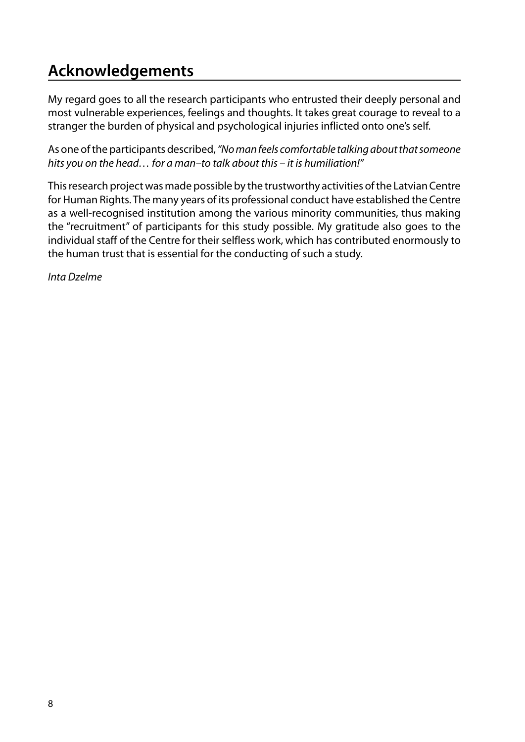# **Acknowledgements**

My regard goes to all the research participants who entrusted their deeply personal and most vulnerable experiences, feelings and thoughts. It takes great courage to reveal to a stranger the burden of physical and psychological injuries inflicted onto one's self.

As one of the participants described, *"No man feels comfortable talking about that someone hits you on the head… for a man–to talk about this – it is humiliation!"*

This research project was made possible by the trustworthy activities of the Latvian Centre for Human Rights. The many years of its professional conduct have established the Centre as a well-recognised institution among the various minority communities, thus making the "recruitment" of participants for this study possible. My gratitude also goes to the individual staff of the Centre for their selfless work, which has contributed enormously to the human trust that is essential for the conducting of such a study.

*Inta Dzelme*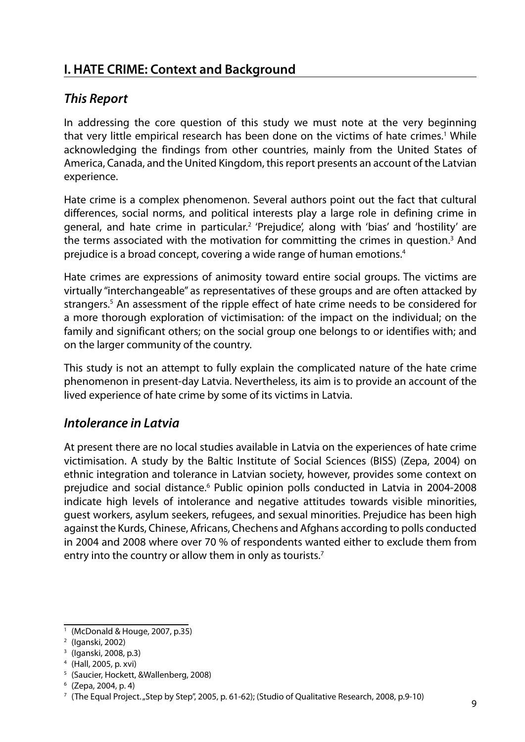## **I. HATE CRIME: Context and Background**

#### *This Report*

In addressing the core question of this study we must note at the very beginning that very little empirical research has been done on the victims of hate crimes.<sup>1</sup> While acknowledging the findings from other countries, mainly from the United States of America, Canada, and the United Kingdom, this report presents an account of the Latvian experience.

Hate crime is a complex phenomenon. Several authors point out the fact that cultural differences, social norms, and political interests play a large role in defining crime in general, and hate crime in particular.<sup>2</sup> 'Prejudice', along with 'bias' and 'hostility' are the terms associated with the motivation for committing the crimes in question.<sup>3</sup> And prejudice is a broad concept, covering a wide range of human emotions.4

Hate crimes are expressions of animosity toward entire social groups. The victims are virtually "interchangeable" as representatives of these groups and are often attacked by strangers.<sup>5</sup> An assessment of the ripple effect of hate crime needs to be considered for a more thorough exploration of victimisation: of the impact on the individual; on the family and significant others; on the social group one belongs to or identifies with; and on the larger community of the country.

This study is not an attempt to fully explain the complicated nature of the hate crime phenomenon in present-day Latvia. Nevertheless, its aim is to provide an account of the lived experience of hate crime by some of its victims in Latvia.

#### *Intolerance in Latvia*

At present there are no local studies available in Latvia on the experiences of hate crime victimisation. A study by the Baltic Institute of Social Sciences (BISS) (Zepa, 2004) on ethnic integration and tolerance in Latvian society, however, provides some context on prejudice and social distance.<sup>6</sup> Public opinion polls conducted in Latvia in 2004-2008 indicate high levels of intolerance and negative attitudes towards visible minorities, guest workers, asylum seekers, refugees, and sexual minorities. Prejudice has been high against the Kurds, Chinese, Africans, Chechens and Afghans according to polls conducted in 2004 and 2008 where over 70 % of respondents wanted either to exclude them from entry into the country or allow them in only as tourists.<sup>7</sup>

<sup>1</sup> (McDonald & Houge, 2007, p.35)

<sup>2</sup> (Iganski, 2002)

<sup>3</sup> (Iganski, 2008, p.3)

<sup>4</sup> (Hall, 2005, p. xvi)

<sup>5</sup> (Saucier, Hockett, &Wallenberg, 2008)

 $6$  (Zepa, 2004, p. 4)

 $7$  (The Equal Project. "Step by Step", 2005, p. 61-62); (Studio of Qualitative Research, 2008, p.9-10)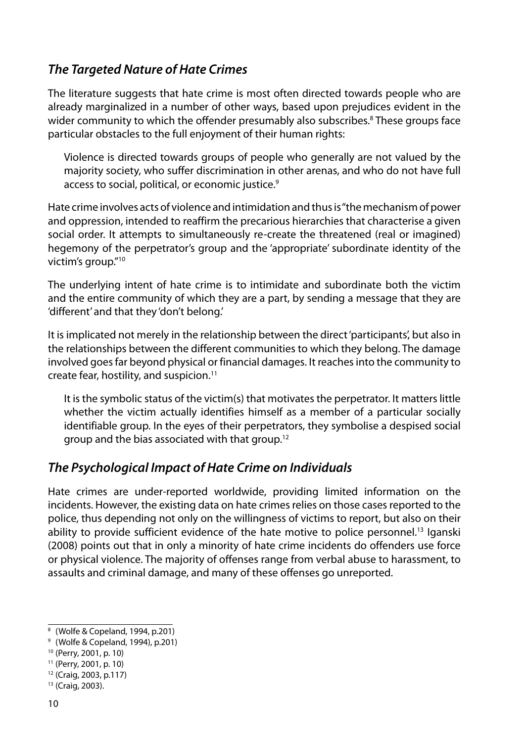## *The Targeted Nature of Hate Crimes*

The literature suggests that hate crime is most often directed towards people who are already marginalized in a number of other ways, based upon prejudices evident in the wider community to which the offender presumably also subscribes.<sup>8</sup> These groups face particular obstacles to the full enjoyment of their human rights:

Violence is directed towards groups of people who generally are not valued by the majority society, who suffer discrimination in other arenas, and who do not have full access to social, political, or economic justice.<sup>9</sup>

Hate crime involves acts of violence and intimidation and thus is "the mechanism of power and oppression, intended to reaffirm the precarious hierarchies that characterise a given social order. It attempts to simultaneously re-create the threatened (real or imagined) hegemony of the perpetrator's group and the 'appropriate' subordinate identity of the victim's group."10

The underlying intent of hate crime is to intimidate and subordinate both the victim and the entire community of which they are a part, by sending a message that they are 'different' and that they 'don't belong.'

It is implicated not merely in the relationship between the direct 'participants', but also in the relationships between the different communities to which they belong. The damage involved goes far beyond physical or financial damages. It reaches into the community to create fear, hostility, and suspicion.11

It is the symbolic status of the victim(s) that motivates the perpetrator. It matters little whether the victim actually identifies himself as a member of a particular socially identifiable group. In the eyes of their perpetrators, they symbolise a despised social group and the bias associated with that group.12

#### *The Psychological Impact of Hate Crime on Individuals*

Hate crimes are under-reported worldwide, providing limited information on the incidents. However, the existing data on hate crimes relies on those cases reported to the police, thus depending not only on the willingness of victims to report, but also on their ability to provide sufficient evidence of the hate motive to police personnel.<sup>13</sup> Iganski (2008) points out that in only a minority of hate crime incidents do offenders use force or physical violence. The majority of offenses range from verbal abuse to harassment, to assaults and criminal damage, and many of these offenses go unreported.

<sup>8</sup> (Wolfe & Copeland, 1994, p.201)

<sup>9</sup> (Wolfe & Copeland, 1994), p.201)

<sup>10</sup> (Perry, 2001, p. 10)

<sup>11</sup> (Perry, 2001, p. 10)

<sup>12</sup> (Craig, 2003, p.117)

<sup>13</sup> (Craig, 2003).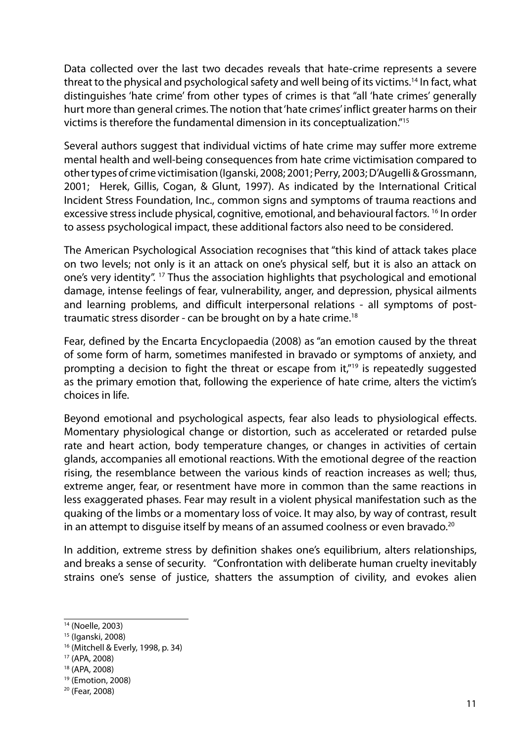Data collected over the last two decades reveals that hate-crime represents a severe threat to the physical and psychological safety and well being of its victims.14 In fact, what distinguishes 'hate crime' from other types of crimes is that "all 'hate crimes' generally hurt more than general crimes. The notion that 'hate crimes' inflict greater harms on their victims is therefore the fundamental dimension in its conceptualization."15

Several authors suggest that individual victims of hate crime may suffer more extreme mental health and well-being consequences from hate crime victimisation compared to other types of crime victimisation (Iganski, 2008; 2001; Perry, 2003; D'Augelli & Grossmann, 2001; Herek, Gillis, Cogan, & Glunt, 1997). As indicated by the International Critical Incident Stress Foundation, Inc., common signs and symptoms of trauma reactions and excessive stress include physical, cognitive, emotional, and behavioural factors. <sup>16</sup> In order to assess psychological impact, these additional factors also need to be considered.

The American Psychological Association recognises that "this kind of attack takes place on two levels; not only is it an attack on one's physical self, but it is also an attack on one's very identity". 17 Thus the association highlights that psychological and emotional damage, intense feelings of fear, vulnerability, anger, and depression, physical ailments and learning problems, and difficult interpersonal relations - all symptoms of posttraumatic stress disorder - can be brought on by a hate crime.18

Fear, defined by the Encarta Encyclopaedia (2008) as "an emotion caused by the threat of some form of harm, sometimes manifested in bravado or symptoms of anxiety, and prompting a decision to fight the threat or escape from  $it''^{19}$  is repeatedly suggested as the primary emotion that, following the experience of hate crime, alters the victim's choices in life.

Beyond emotional and psychological aspects, fear also leads to physiological effects. Momentary physiological change or distortion, such as accelerated or retarded pulse rate and heart action, body temperature changes, or changes in activities of certain glands, accompanies all emotional reactions. With the emotional degree of the reaction rising, the resemblance between the various kinds of reaction increases as well; thus, extreme anger, fear, or resentment have more in common than the same reactions in less exaggerated phases. Fear may result in a violent physical manifestation such as the quaking of the limbs or a momentary loss of voice. It may also, by way of contrast, result in an attempt to disquise itself by means of an assumed coolness or even bravado.<sup>20</sup>

In addition, extreme stress by definition shakes one's equilibrium, alters relationships, and breaks a sense of security. "Confrontation with deliberate human cruelty inevitably strains one's sense of justice, shatters the assumption of civility, and evokes alien

<sup>14</sup> (Noelle, 2003)

<sup>15</sup> (Iganski, 2008)

<sup>16</sup> (Mitchell & Everly, 1998, p. 34)

<sup>17</sup> (APA, 2008)

<sup>18</sup> (APA, 2008)

<sup>19</sup> (Emotion, 2008)

<sup>20</sup> (Fear, 2008)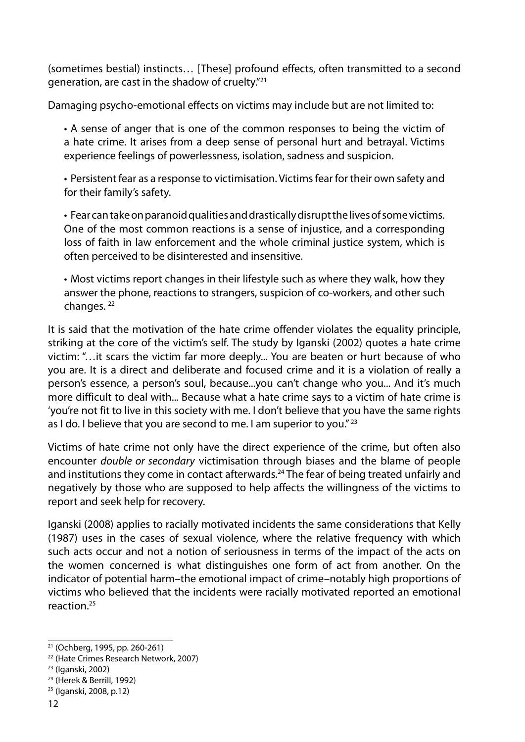(sometimes bestial) instincts… [These] profound effects, often transmitted to a second generation, are cast in the shadow of cruelty."21

Damaging psycho-emotional effects on victims may include but are not limited to:

• A sense of anger that is one of the common responses to being the victim of a hate crime. It arises from a deep sense of personal hurt and betrayal. Victims experience feelings of powerlessness, isolation, sadness and suspicion.

• Persistent fear as a response to victimisation. Victimsfear for their own safety and for their family's safety.

• Fearcantakeonparanoidqualitiesanddrasticallydisruptthelivesofsomevictims. One of the most common reactions is a sense of injustice, and a corresponding loss of faith in law enforcement and the whole criminal justice system, which is often perceived to be disinterested and insensitive.

• Most victims report changes in their lifestyle such as where they walk, how they answer the phone, reactions to strangers, suspicion of co-workers, and other such changes.<sup>22</sup>

It is said that the motivation of the hate crime offender violates the equality principle, striking at the core of the victim's self. The study by Iganski (2002) quotes a hate crime victim: "…it scars the victim far more deeply... You are beaten or hurt because of who you are. It is a direct and deliberate and focused crime and it is a violation of really a person's essence, a person's soul, because...you can't change who you... And it's much more difficult to deal with... Because what a hate crime says to a victim of hate crime is 'you're not fit to live in this society with me. I don't believe that you have the same rights as I do. I believe that you are second to me. I am superior to you."<sup>23</sup>

Victims of hate crime not only have the direct experience of the crime, but often also encounter *double or secondary* victimisation through biases and the blame of people and institutions they come in contact afterwards.<sup>24</sup> The fear of being treated unfairly and negatively by those who are supposed to help affects the willingness of the victims to report and seek help for recovery.

Iganski (2008) applies to racially motivated incidents the same considerations that Kelly (1987) uses in the cases of sexual violence, where the relative frequency with which such acts occur and not a notion of seriousness in terms of the impact of the acts on the women concerned is what distinguishes one form of act from another. On the indicator of potential harm–the emotional impact of crime–notably high proportions of victims who believed that the incidents were racially motivated reported an emotional reaction<sup>25</sup>

<sup>21</sup> (Ochberg, 1995, pp. 260-261)

<sup>22</sup> (Hate Crimes Research Network, 2007)

<sup>23</sup> (Iganski, 2002)

<sup>24</sup> (Herek & Berrill, 1992)

<sup>25</sup> (Iganski, 2008, p.12)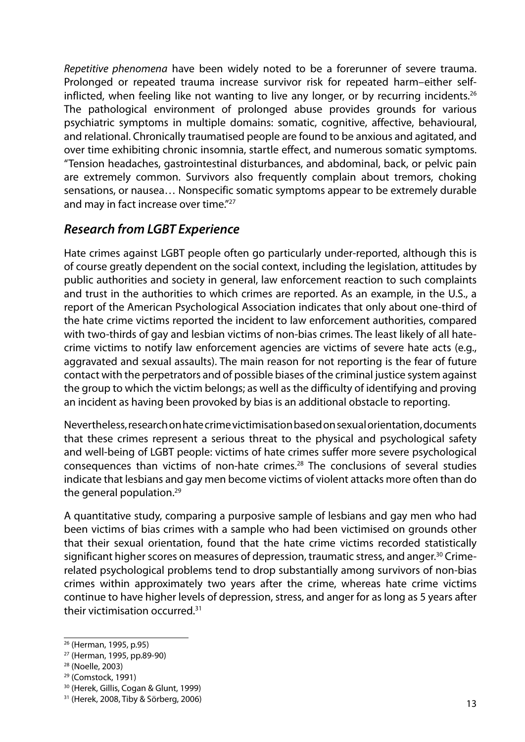*Repetitive phenomena* have been widely noted to be a forerunner of severe trauma. Prolonged or repeated trauma increase survivor risk for repeated harm–either selfinflicted, when feeling like not wanting to live any longer, or by recurring incidents.<sup>26</sup> The pathological environment of prolonged abuse provides grounds for various psychiatric symptoms in multiple domains: somatic, cognitive, affective, behavioural, and relational. Chronically traumatised people are found to be anxious and agitated, and over time exhibiting chronic insomnia, startle effect, and numerous somatic symptoms. "Tension headaches, gastrointestinal disturbances, and abdominal, back, or pelvic pain are extremely common. Survivors also frequently complain about tremors, choking sensations, or nausea… Nonspecific somatic symptoms appear to be extremely durable and may in fact increase over time."<sup>27</sup>

## *Research from LGBT Experience*

Hate crimes against LGBT people often go particularly under-reported, although this is of course greatly dependent on the social context, including the legislation, attitudes by public authorities and society in general, law enforcement reaction to such complaints and trust in the authorities to which crimes are reported. As an example, in the U.S., a report of the American Psychological Association indicates that only about one-third of the hate crime victims reported the incident to law enforcement authorities, compared with two-thirds of gay and lesbian victims of non-bias crimes. The least likely of all hatecrime victims to notify law enforcement agencies are victims of severe hate acts (e.g., aggravated and sexual assaults). The main reason for not reporting is the fear of future contact with the perpetrators and of possible biases of the criminal justice system against the group to which the victim belongs; as well as the difficulty of identifying and proving an incident as having been provoked by bias is an additional obstacle to reporting.

Nevertheless, research on hate crime victimisation based on sexual orientation, documents that these crimes represent a serious threat to the physical and psychological safety and well-being of LGBT people: victims of hate crimes suffer more severe psychological consequences than victims of non-hate crimes.28 The conclusions of several studies indicate that lesbians and gay men become victims of violent attacks more often than do the general population.<sup>29</sup>

A quantitative study, comparing a purposive sample of lesbians and gay men who had been victims of bias crimes with a sample who had been victimised on grounds other that their sexual orientation, found that the hate crime victims recorded statistically significant higher scores on measures of depression, traumatic stress, and anger.<sup>30</sup> Crimerelated psychological problems tend to drop substantially among survivors of non-bias crimes within approximately two years after the crime, whereas hate crime victims continue to have higher levels of depression, stress, and anger for as long as 5 years after their victimisation occurred<sup>31</sup>

<sup>26</sup> (Herman, 1995, p.95)

<sup>27</sup> (Herman, 1995, pp.89-90)

<sup>28</sup> (Noelle, 2003)

<sup>29</sup> (Comstock, 1991)

<sup>30</sup> (Herek, Gillis, Cogan & Glunt, 1999)

<sup>31</sup> (Herek, 2008, Tiby & Sörberg, 2006)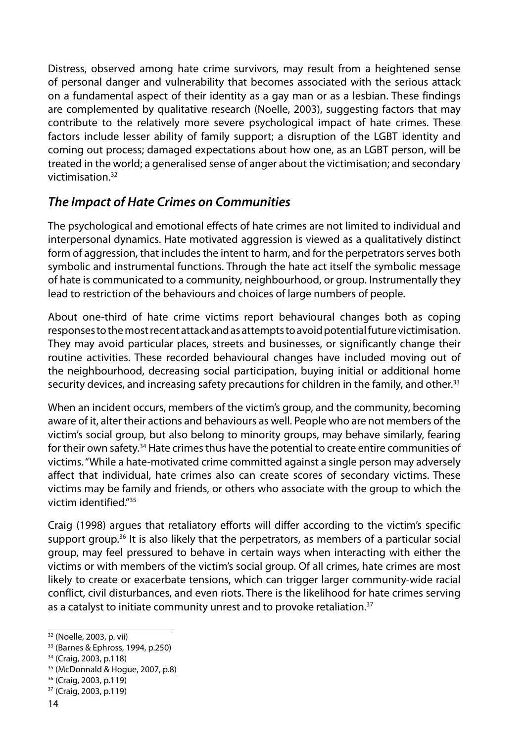Distress, observed among hate crime survivors, may result from a heightened sense of personal danger and vulnerability that becomes associated with the serious attack on a fundamental aspect of their identity as a gay man or as a lesbian. These findings are complemented by qualitative research (Noelle, 2003), suggesting factors that may contribute to the relatively more severe psychological impact of hate crimes. These factors include lesser ability of family support; a disruption of the LGBT identity and coming out process; damaged expectations about how one, as an LGBT person, will be treated in the world; a generalised sense of anger about the victimisation; and secondary victimisation.32

## *The Impact of Hate Crimes on Communities*

The psychological and emotional effects of hate crimes are not limited to individual and interpersonal dynamics. Hate motivated aggression is viewed as a qualitatively distinct form of aggression, that includes the intent to harm, and for the perpetrators serves both symbolic and instrumental functions. Through the hate act itself the symbolic message of hate is communicated to a community, neighbourhood, or group. Instrumentally they lead to restriction of the behaviours and choices of large numbers of people.

About one-third of hate crime victims report behavioural changes both as coping responses to the most recent attack and as attempts to avoid potential future victimisation. They may avoid particular places, streets and businesses, or significantly change their routine activities. These recorded behavioural changes have included moving out of the neighbourhood, decreasing social participation, buying initial or additional home security devices, and increasing safety precautions for children in the family, and other.<sup>33</sup>

When an incident occurs, members of the victim's group, and the community, becoming aware of it, alter their actions and behaviours as well. People who are not members of the victim's social group, but also belong to minority groups, may behave similarly, fearing for their own safety.34 Hate crimes thus have the potential to create entire communities of victims. "While a hate-motivated crime committed against a single person may adversely affect that individual, hate crimes also can create scores of secondary victims. These victims may be family and friends, or others who associate with the group to which the victim identified."35

Craig (1998) argues that retaliatory efforts will differ according to the victim's specific support group.<sup>36</sup> It is also likely that the perpetrators, as members of a particular social group, may feel pressured to behave in certain ways when interacting with either the victims or with members of the victim's social group. Of all crimes, hate crimes are most likely to create or exacerbate tensions, which can trigger larger community-wide racial conflict, civil disturbances, and even riots. There is the likelihood for hate crimes serving as a catalyst to initiate community unrest and to provoke retaliation.<sup>37</sup>

<sup>32</sup> (Noelle, 2003, p. vii)

<sup>33</sup> (Barnes & Ephross, 1994, p.250)

<sup>34</sup> (Craig, 2003, p.118)

<sup>35</sup> (McDonnald & Hogue, 2007, p.8)

<sup>36</sup> (Craig, 2003, p.119)

<sup>37</sup> (Craig, 2003, p.119)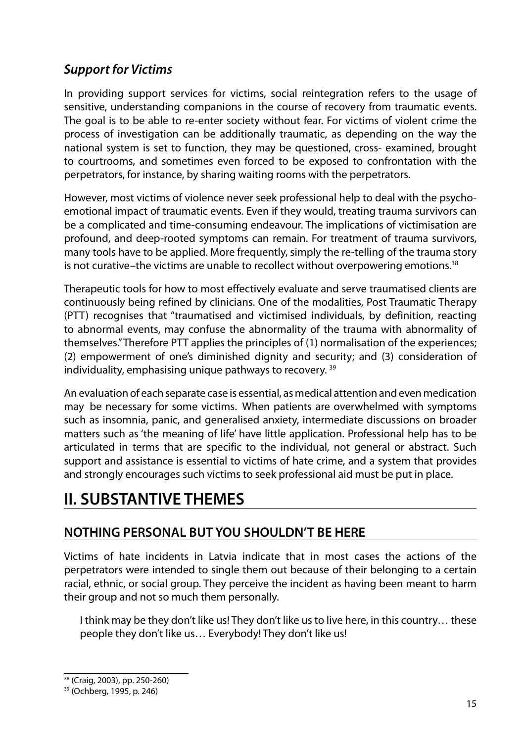## *Support for Victims*

In providing support services for victims, social reintegration refers to the usage of sensitive, understanding companions in the course of recovery from traumatic events. The goal is to be able to re-enter society without fear. For victims of violent crime the process of investigation can be additionally traumatic, as depending on the way the national system is set to function, they may be questioned, cross- examined, brought to courtrooms, and sometimes even forced to be exposed to confrontation with the perpetrators, for instance, by sharing waiting rooms with the perpetrators.

However, most victims of violence never seek professional help to deal with the psychoemotional impact of traumatic events. Even if they would, treating trauma survivors can be a complicated and time-consuming endeavour. The implications of victimisation are profound, and deep-rooted symptoms can remain. For treatment of trauma survivors, many tools have to be applied. More frequently, simply the re-telling of the trauma story is not curative–the victims are unable to recollect without overpowering emotions.38

Therapeutic tools for how to most effectively evaluate and serve traumatised clients are continuously being refined by clinicians. One of the modalities, Post Traumatic Therapy (PTT) recognises that "traumatised and victimised individuals, by definition, reacting to abnormal events, may confuse the abnormality of the trauma with abnormality of themselves." Therefore PTT applies the principles of (1) normalisation of the experiences; (2) empowerment of one's diminished dignity and security; and (3) consideration of individuality, emphasising unique pathways to recovery. 39

An evaluation of each separate case is essential, as medical attention and even medication may be necessary for some victims. When patients are overwhelmed with symptoms such as insomnia, panic, and generalised anxiety, intermediate discussions on broader matters such as 'the meaning of life' have little application. Professional help has to be articulated in terms that are specific to the individual, not general or abstract. Such support and assistance is essential to victims of hate crime, and a system that provides and strongly encourages such victims to seek professional aid must be put in place.

# **II. SUBSTANTIVE THEMES**

## **NOTHING PERSONAL BUT YOU SHOULDN'T BE HERE**

Victims of hate incidents in Latvia indicate that in most cases the actions of the perpetrators were intended to single them out because of their belonging to a certain racial, ethnic, or social group. They perceive the incident as having been meant to harm their group and not so much them personally.

I think may be they don't like us! They don't like us to live here, in this country… these people they don't like us… Everybody! They don't like us!

<sup>38</sup> (Craig, 2003), pp. 250-260)

<sup>39</sup> (Ochberg, 1995, p. 246)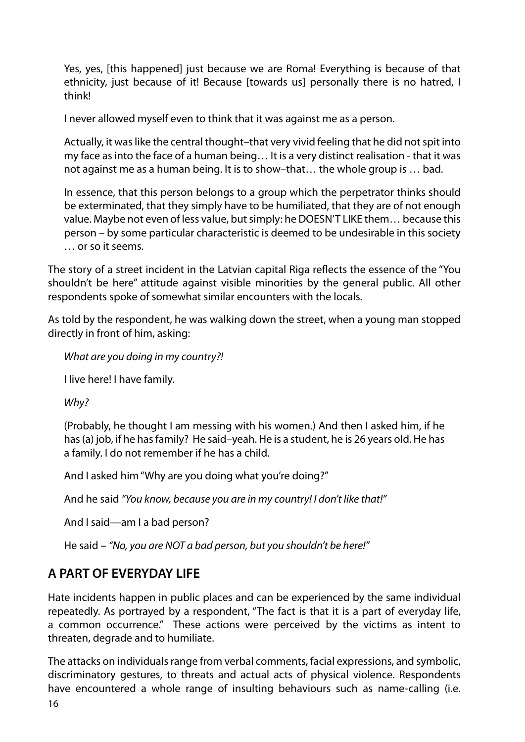Yes, yes, [this happened] just because we are Roma! Everything is because of that ethnicity, just because of it! Because [towards us] personally there is no hatred, I think!

I never allowed myself even to think that it was against me as a person.

Actually, it was like the central thought–that very vivid feeling that he did not spit into my face as into the face of a human being… It is a very distinct realisation - that it was not against me as a human being. It is to show–that… the whole group is … bad.

In essence, that this person belongs to a group which the perpetrator thinks should be exterminated, that they simply have to be humiliated, that they are of not enough value. Maybe not even of less value, but simply: he DOESN'T LIKE them… because this person – by some particular characteristic is deemed to be undesirable in this society … or so it seems.

The story of a street incident in the Latvian capital Riga reflects the essence of the "You shouldn't be here" attitude against visible minorities by the general public. All other respondents spoke of somewhat similar encounters with the locals.

As told by the respondent, he was walking down the street, when a young man stopped directly in front of him, asking:

*What are you doing in my country?!* 

I live here! I have family.

*Why?* 

(Probably, he thought I am messing with his women.) And then I asked him, if he has (a) job, if he has family? He said–yeah. He is a student, he is 26 years old. He has a family. I do not remember if he has a child.

And I asked him "Why are you doing what you're doing?"

And he said *"You know, because you are in my country! I don't like that!"*

And I said—am I a bad person?

He said – *"No, you are NOT a bad person, but you shouldn't be here!"*

#### **A PART OF EVERYDAY LIFE**

Hate incidents happen in public places and can be experienced by the same individual repeatedly. As portrayed by a respondent, "The fact is that it is a part of everyday life, a common occurrence." These actions were perceived by the victims as intent to threaten, degrade and to humiliate.

The attacks on individuals range from verbal comments, facial expressions, and symbolic, discriminatory gestures, to threats and actual acts of physical violence. Respondents have encountered a whole range of insulting behaviours such as name-calling (i.e.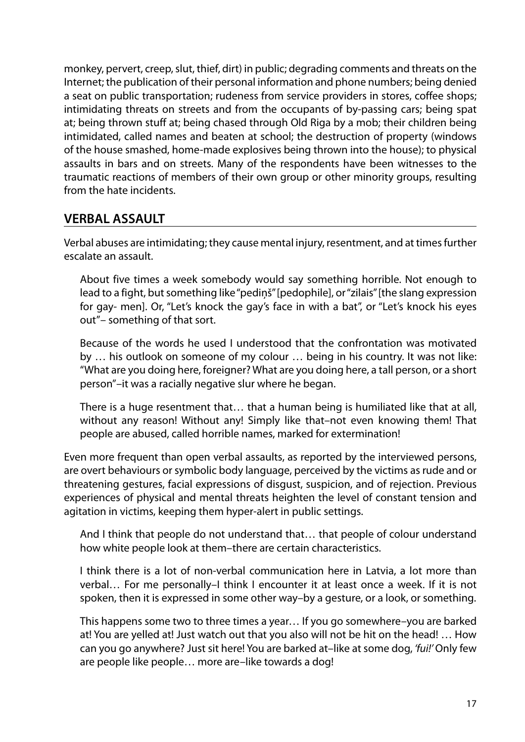monkey, pervert, creep, slut, thief, dirt) in public; degrading comments and threats on the Internet; the publication of their personal information and phone numbers; being denied a seat on public transportation; rudeness from service providers in stores, coffee shops; intimidating threats on streets and from the occupants of by-passing cars; being spat at; being thrown stuff at; being chased through Old Riga by a mob; their children being intimidated, called names and beaten at school; the destruction of property (windows of the house smashed, home-made explosives being thrown into the house); to physical assaults in bars and on streets. Many of the respondents have been witnesses to the traumatic reactions of members of their own group or other minority groups, resulting from the hate incidents.

#### **VERBAL ASSAULT**

Verbal abuses are intimidating; they cause mental injury, resentment, and at times further escalate an assault.

About five times a week somebody would say something horrible. Not enough to lead to a fight, but something like "pediņš" [pedophile], or "zilais" [the slang expression for gay- men]. Or, "Let's knock the gay's face in with a bat", or "Let's knock his eyes out"– something of that sort.

Because of the words he used I understood that the confrontation was motivated by … his outlook on someone of my colour … being in his country. It was not like: "What are you doing here, foreigner? What are you doing here, a tall person, or a short person"–it was a racially negative slur where he began.

There is a huge resentment that… that a human being is humiliated like that at all, without any reason! Without any! Simply like that–not even knowing them! That people are abused, called horrible names, marked for extermination!

Even more frequent than open verbal assaults, as reported by the interviewed persons, are overt behaviours or symbolic body language, perceived by the victims as rude and or threatening gestures, facial expressions of disgust, suspicion, and of rejection. Previous experiences of physical and mental threats heighten the level of constant tension and agitation in victims, keeping them hyper-alert in public settings.

And I think that people do not understand that… that people of colour understand how white people look at them–there are certain characteristics.

I think there is a lot of non-verbal communication here in Latvia, a lot more than verbal… For me personally–I think I encounter it at least once a week. If it is not spoken, then it is expressed in some other way–by a gesture, or a look, or something.

This happens some two to three times a year… If you go somewhere–you are barked at! You are yelled at! Just watch out that you also will not be hit on the head! … How can you go anywhere? Just sit here! You are barked at–like at some dog, *'fui!'* Only few are people like people… more are–like towards a dog!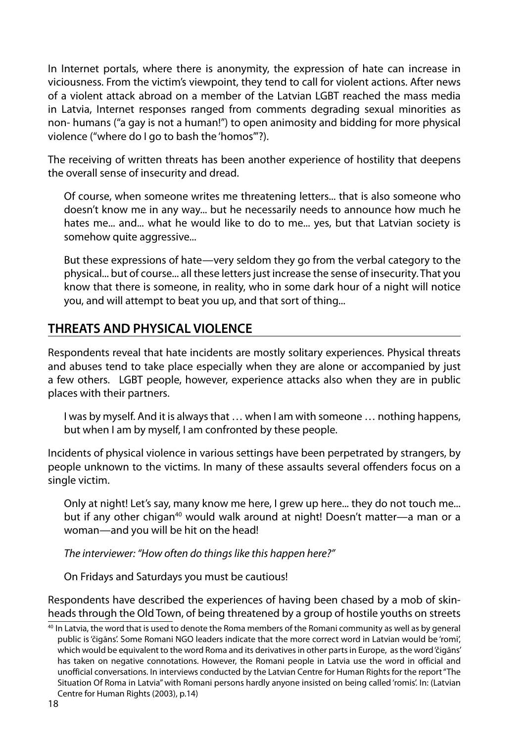In Internet portals, where there is anonymity, the expression of hate can increase in viciousness. From the victim's viewpoint, they tend to call for violent actions. After news of a violent attack abroad on a member of the Latvian LGBT reached the mass media in Latvia, Internet responses ranged from comments degrading sexual minorities as non- humans ("a gay is not a human!") to open animosity and bidding for more physical violence ("where do I go to bash the 'homos'"?).

The receiving of written threats has been another experience of hostility that deepens the overall sense of insecurity and dread.

Of course, when someone writes me threatening letters... that is also someone who doesn't know me in any way... but he necessarily needs to announce how much he hates me... and... what he would like to do to me... yes, but that Latvian society is somehow quite aggressive...

But these expressions of hate—very seldom they go from the verbal category to the physical... but of course... all these letters just increase the sense of insecurity. That you know that there is someone, in reality, who in some dark hour of a night will notice you, and will attempt to beat you up, and that sort of thing...

## **THREATS AND PHYSICAL VIOLENCE**

Respondents reveal that hate incidents are mostly solitary experiences. Physical threats and abuses tend to take place especially when they are alone or accompanied by just a few others. LGBT people, however, experience attacks also when they are in public places with their partners.

I was by myself. And it is always that … when I am with someone … nothing happens, but when I am by myself, I am confronted by these people.

Incidents of physical violence in various settings have been perpetrated by strangers, by people unknown to the victims. In many of these assaults several offenders focus on a single victim.

Only at night! Let's say, many know me here, I grew up here... they do not touch me... but if any other chigan<sup>40</sup> would walk around at night! Doesn't matter—a man or a woman—and you will be hit on the head!

*The interviewer: "How often do things like this happen here?"*

On Fridays and Saturdays you must be cautious!

Respondents have described the experiences of having been chased by a mob of skinheads through the Old Town, of being threatened by a group of hostile youths on streets

 $40$  In Latvia, the word that is used to denote the Roma members of the Romani community as well as by general public is 'čigāns'. Some Romani NGO leaders indicate that the more correct word in Latvian would be 'romi', which would be equivalent to the word Roma and its derivatives in other parts in Europe, as the word 'čigāns' has taken on negative connotations. However, the Romani people in Latvia use the word in official and unofficial conversations. In interviews conducted by the Latvian Centre for Human Rights for the report "The Situation Of Roma in Latvia" with Romani persons hardly anyone insisted on being called 'romis'. In: (Latvian Centre for Human Rights (2003), p.14)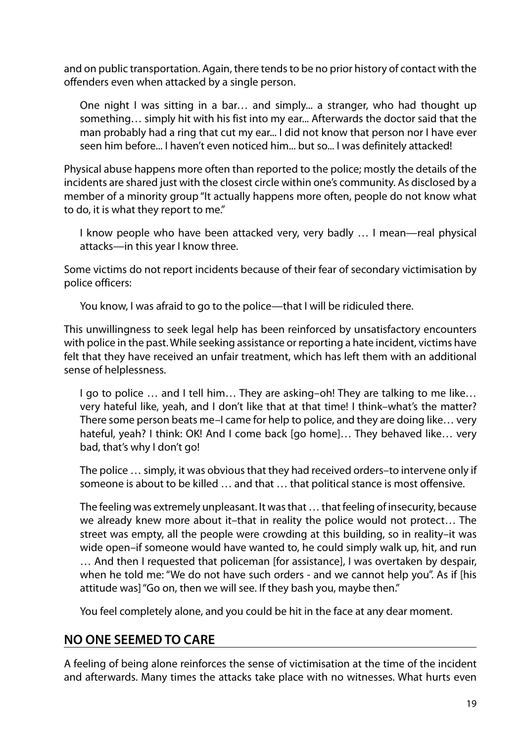and on public transportation. Again, there tends to be no prior history of contact with the offenders even when attacked by a single person.

One night I was sitting in a bar… and simply... a stranger, who had thought up something… simply hit with his fist into my ear... Afterwards the doctor said that the man probably had a ring that cut my ear... I did not know that person nor I have ever seen him before... I haven't even noticed him... but so... I was definitely attacked!

Physical abuse happens more often than reported to the police; mostly the details of the incidents are shared just with the closest circle within one's community. As disclosed by a member of a minority group "It actually happens more often, people do not know what to do, it is what they report to me."

I know people who have been attacked very, very badly … I mean—real physical attacks—in this year I know three.

Some victims do not report incidents because of their fear of secondary victimisation by police officers:

You know, I was afraid to go to the police—that I will be ridiculed there.

This unwillingness to seek legal help has been reinforced by unsatisfactory encounters with police in the past. While seeking assistance or reporting a hate incident, victims have felt that they have received an unfair treatment, which has left them with an additional sense of helplessness.

I go to police … and I tell him… They are asking–oh! They are talking to me like… very hateful like, yeah, and I don't like that at that time! I think–what's the matter? There some person beats me–I came for help to police, and they are doing like… very hateful, yeah? I think: OK! And I come back [go home]… They behaved like… very bad, that's why I don't go!

The police … simply, it was obvious that they had received orders–to intervene only if someone is about to be killed … and that … that political stance is most offensive.

The feeling was extremely unpleasant. It was that … that feeling of insecurity, because we already knew more about it–that in reality the police would not protect… The street was empty, all the people were crowding at this building, so in reality–it was wide open–if someone would have wanted to, he could simply walk up, hit, and run … And then I requested that policeman [for assistance], I was overtaken by despair, when he told me: "We do not have such orders - and we cannot help you". As if [his attitude was] "Go on, then we will see. If they bash you, maybe then."

You feel completely alone, and you could be hit in the face at any dear moment.

#### **NO ONE SEEMED TO CARE**

A feeling of being alone reinforces the sense of victimisation at the time of the incident and afterwards. Many times the attacks take place with no witnesses. What hurts even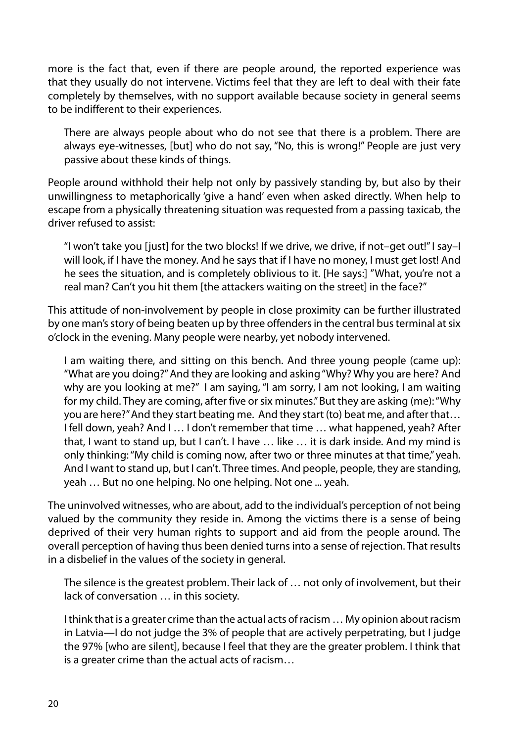more is the fact that, even if there are people around, the reported experience was that they usually do not intervene. Victims feel that they are left to deal with their fate completely by themselves, with no support available because society in general seems to be indifferent to their experiences.

There are always people about who do not see that there is a problem. There are always eye-witnesses, [but] who do not say, "No, this is wrong!" People are just very passive about these kinds of things.

People around withhold their help not only by passively standing by, but also by their unwillingness to metaphorically 'give a hand' even when asked directly. When help to escape from a physically threatening situation was requested from a passing taxicab, the driver refused to assist:

"I won't take you [just] for the two blocks! If we drive, we drive, if not–get out!" I say–I will look, if I have the money. And he says that if I have no money, I must get lost! And he sees the situation, and is completely oblivious to it. [He says:] "What, you're not a real man? Can't you hit them [the attackers waiting on the street] in the face?"

This attitude of non-involvement by people in close proximity can be further illustrated by one man's story of being beaten up by three offenders in the central bus terminal at six o'clock in the evening. Many people were nearby, yet nobody intervened.

I am waiting there, and sitting on this bench. And three young people (came up): "What are you doing?" And they are looking and asking "Why? Why you are here? And why are you looking at me?" I am saying, "I am sorry, I am not looking, I am waiting for my child. They are coming, after five or six minutes." But they are asking (me): "Why you are here?" And they start beating me. And they start (to) beat me, and after that… I fell down, yeah? And I … I don't remember that time … what happened, yeah? After that, I want to stand up, but I can't. I have … like … it is dark inside. And my mind is only thinking: "My child is coming now, after two or three minutes at that time," yeah. And I want to stand up, but I can't. Three times. And people, people, they are standing, yeah … But no one helping. No one helping. Not one ... yeah.

The uninvolved witnesses, who are about, add to the individual's perception of not being valued by the community they reside in. Among the victims there is a sense of being deprived of their very human rights to support and aid from the people around. The overall perception of having thus been denied turns into a sense of rejection. That results in a disbelief in the values of the society in general.

The silence is the greatest problem. Their lack of … not only of involvement, but their lack of conversation … in this society.

I think that is a greater crime than the actual acts of racism … My opinion about racism in Latvia—I do not judge the 3% of people that are actively perpetrating, but I judge the 97% [who are silent], because I feel that they are the greater problem. I think that is a greater crime than the actual acts of racism…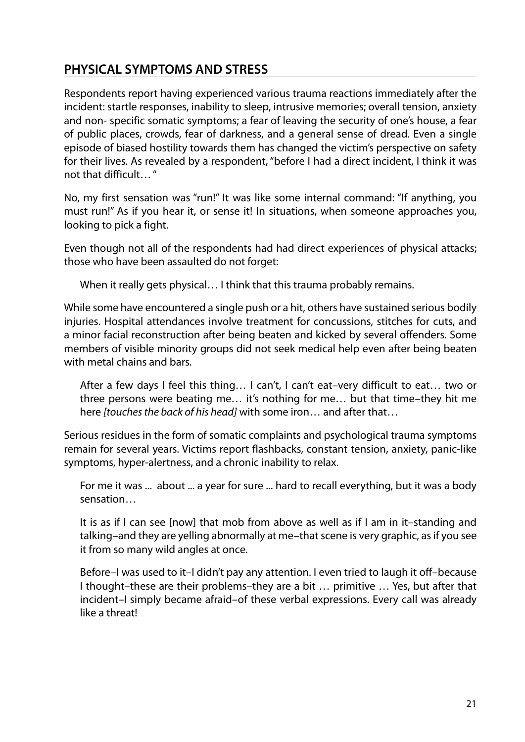## **PHYSICAL SYMPTOMS AND STRESS**

Respondents report having experienced various trauma reactions immediately after the incident: startle responses, inability to sleep, intrusive memories; overall tension, anxiety and non- specific somatic symptoms; a fear of leaving the security of one's house, a fear of public places, crowds, fear of darkness, and a general sense of dread. Even a single episode of biased hostility towards them has changed the victim's perspective on safety for their lives. As revealed by a respondent, "before I had a direct incident, I think it was not that difficult… "

No, my first sensation was "run!" It was like some internal command: "If anything, you must run!" As if you hear it, or sense it! In situations, when someone approaches you, looking to pick a fight.

Even though not all of the respondents had had direct experiences of physical attacks; those who have been assaulted do not forget:

When it really gets physical… I think that this trauma probably remains.

While some have encountered a single push or a hit, others have sustained serious bodily injuries. Hospital attendances involve treatment for concussions, stitches for cuts, and a minor facial reconstruction after being beaten and kicked by several offenders. Some members of visible minority groups did not seek medical help even after being beaten with metal chains and bars.

After a few days I feel this thing… I can't, I can't eat–very difficult to eat… two or three persons were beating me… it's nothing for me… but that time–they hit me here *[touches the back of his head]* with some iron… and after that…

Serious residues in the form of somatic complaints and psychological trauma symptoms remain for several years. Victims report flashbacks, constant tension, anxiety, panic-like symptoms, hyper-alertness, and a chronic inability to relax.

For me it was ... about ... a year for sure ... hard to recall everything, but it was a body sensation…

It is as if I can see [now] that mob from above as well as if I am in it–standing and talking–and they are yelling abnormally at me–that scene is very graphic, as if you see it from so many wild angles at once.

Before–I was used to it–I didn't pay any attention. I even tried to laugh it off–because I thought–these are their problems–they are a bit … primitive … Yes, but after that incident–I simply became afraid–of these verbal expressions. Every call was already like a threat!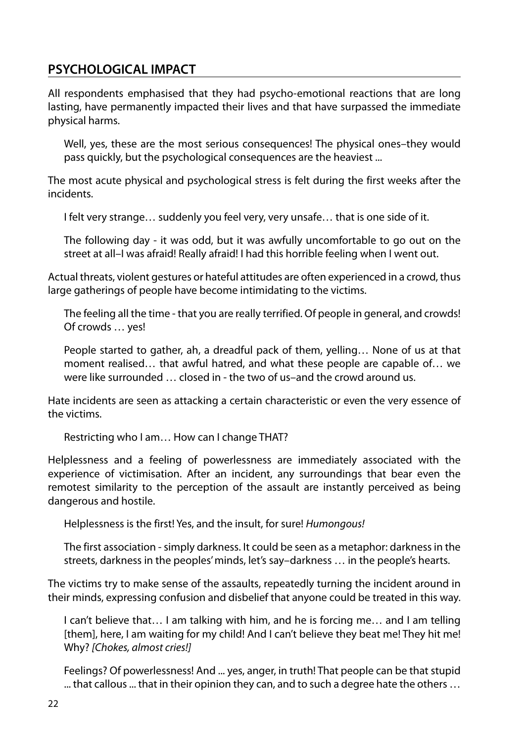#### **PSYCHOLOGICAL IMPACT**

All respondents emphasised that they had psycho-emotional reactions that are long lasting, have permanently impacted their lives and that have surpassed the immediate physical harms.

Well, yes, these are the most serious consequences! The physical ones–they would pass quickly, but the psychological consequences are the heaviest ...

The most acute physical and psychological stress is felt during the first weeks after the incidents.

I felt very strange… suddenly you feel very, very unsafe… that is one side of it.

The following day - it was odd, but it was awfully uncomfortable to go out on the street at all–I was afraid! Really afraid! I had this horrible feeling when I went out.

Actual threats, violent gestures or hateful attitudes are often experienced in a crowd, thus large gatherings of people have become intimidating to the victims.

The feeling all the time - that you are really terrified. Of people in general, and crowds! Of crowds … yes!

People started to gather, ah, a dreadful pack of them, yelling… None of us at that moment realised… that awful hatred, and what these people are capable of… we were like surrounded closed in - the two of us–and the crowd around us.

Hate incidents are seen as attacking a certain characteristic or even the very essence of the victims.

Restricting who I am… How can I change THAT?

Helplessness and a feeling of powerlessness are immediately associated with the experience of victimisation. After an incident, any surroundings that bear even the remotest similarity to the perception of the assault are instantly perceived as being dangerous and hostile.

Helplessness is the first! Yes, and the insult, for sure! *Humongous!*

The first association - simply darkness. It could be seen as a metaphor: darkness in the streets, darkness in the peoples' minds, let's say–darkness … in the people's hearts.

The victims try to make sense of the assaults, repeatedly turning the incident around in their minds, expressing confusion and disbelief that anyone could be treated in this way.

I can't believe that… I am talking with him, and he is forcing me… and I am telling [them], here, I am waiting for my child! And I can't believe they beat me! They hit me! Why? *[Chokes, almost cries!]*

Feelings? Of powerlessness! And ... yes, anger, in truth! That people can be that stupid ... that callous ... that in their opinion they can, and to such a degree hate the others …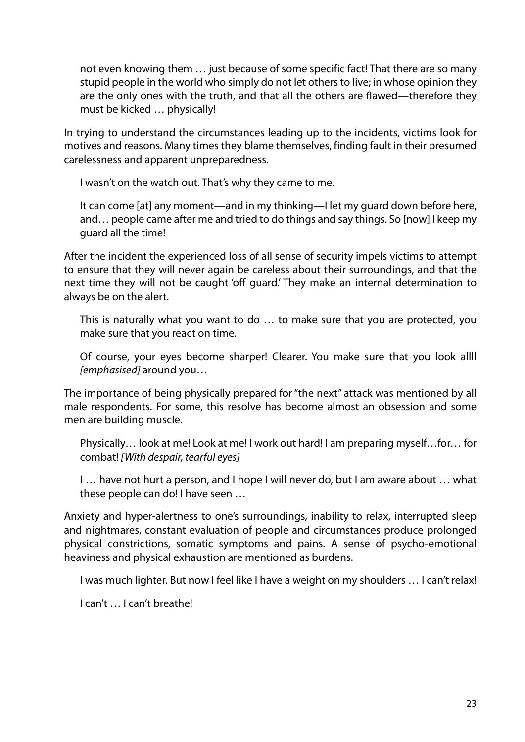not even knowing them … just because of some specific fact! That there are so many stupid people in the world who simply do not let others to live; in whose opinion they are the only ones with the truth, and that all the others are flawed—therefore they must be kicked … physically!

In trying to understand the circumstances leading up to the incidents, victims look for motives and reasons. Many times they blame themselves, finding fault in their presumed carelessness and apparent unpreparedness.

I wasn't on the watch out. That's why they came to me.

It can come [at] any moment—and in my thinking—I let my guard down before here, and… people came after me and tried to do things and say things. So [now] I keep my guard all the time!

After the incident the experienced loss of all sense of security impels victims to attempt to ensure that they will never again be careless about their surroundings, and that the next time they will not be caught 'off guard.' They make an internal determination to always be on the alert.

This is naturally what you want to do … to make sure that you are protected, you make sure that you react on time.

Of course, your eyes become sharper! Clearer. You make sure that you look allll *[emphasised]* around you…

The importance of being physically prepared for "the next" attack was mentioned by all male respondents. For some, this resolve has become almost an obsession and some men are building muscle.

Physically… look at me! Look at me! I work out hard! I am preparing myself…for… for combat! *[With despair, tearful eyes]*

I … have not hurt a person, and I hope I will never do, but I am aware about … what these people can do! I have seen …

Anxiety and hyper-alertness to one's surroundings, inability to relax, interrupted sleep and nightmares, constant evaluation of people and circumstances produce prolonged physical constrictions, somatic symptoms and pains. A sense of psycho-emotional heaviness and physical exhaustion are mentioned as burdens.

I was much lighter. But now I feel like I have a weight on my shoulders … I can't relax!

I can't … I can't breathe!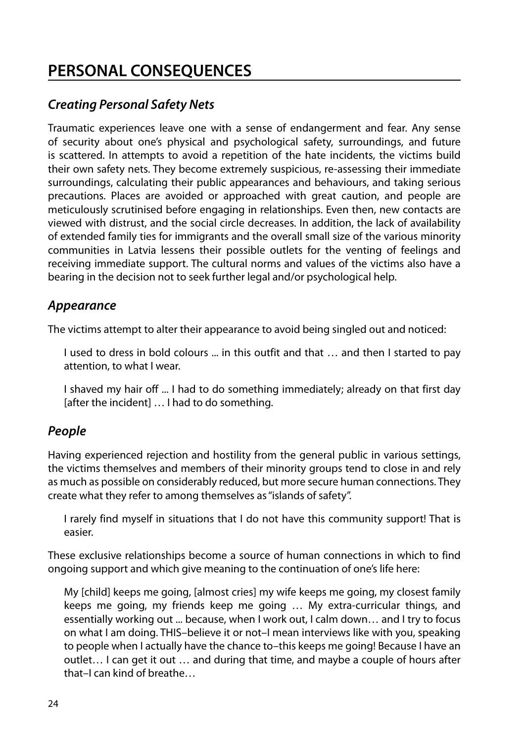# **PERSONAL CONSEQUENCES**

#### *Creating Personal Safety Nets*

Traumatic experiences leave one with a sense of endangerment and fear. Any sense of security about one's physical and psychological safety, surroundings, and future is scattered. In attempts to avoid a repetition of the hate incidents, the victims build their own safety nets. They become extremely suspicious, re-assessing their immediate surroundings, calculating their public appearances and behaviours, and taking serious precautions. Places are avoided or approached with great caution, and people are meticulously scrutinised before engaging in relationships. Even then, new contacts are viewed with distrust, and the social circle decreases. In addition, the lack of availability of extended family ties for immigrants and the overall small size of the various minority communities in Latvia lessens their possible outlets for the venting of feelings and receiving immediate support. The cultural norms and values of the victims also have a bearing in the decision not to seek further legal and/or psychological help.

#### *Appearance*

The victims attempt to alter their appearance to avoid being singled out and noticed:

I used to dress in bold colours ... in this outfit and that … and then I started to pay attention, to what I wear.

I shaved my hair off ... I had to do something immediately; already on that first day [after the incident] ... I had to do something.

#### *People*

Having experienced rejection and hostility from the general public in various settings, the victims themselves and members of their minority groups tend to close in and rely as much as possible on considerably reduced, but more secure human connections. They create what they refer to among themselves as "islands of safety".

I rarely find myself in situations that I do not have this community support! That is easier.

These exclusive relationships become a source of human connections in which to find ongoing support and which give meaning to the continuation of one's life here:

My [child] keeps me going, [almost cries] my wife keeps me going, my closest family keeps me going, my friends keep me going … My extra-curricular things, and essentially working out ... because, when I work out, I calm down… and I try to focus on what I am doing. THIS–believe it or not–I mean interviews like with you, speaking to people when I actually have the chance to–this keeps me going! Because I have an outlet… I can get it out … and during that time, and maybe a couple of hours after that–I can kind of breathe…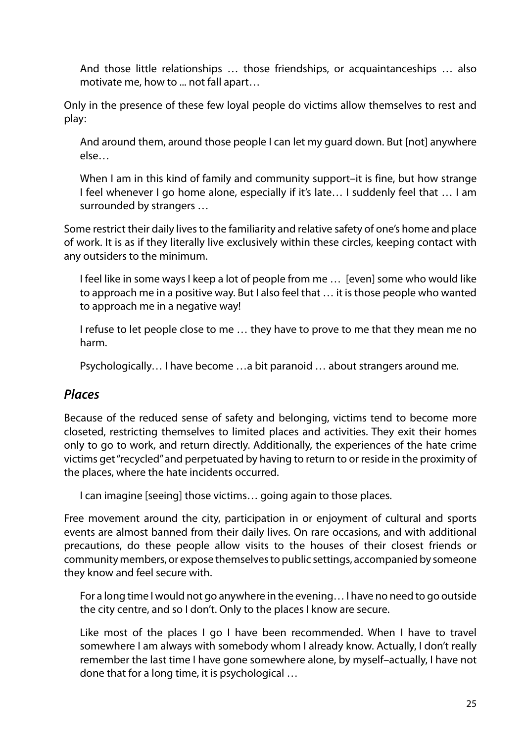And those little relationships … those friendships, or acquaintanceships … also motivate me, how to ... not fall apart…

Only in the presence of these few loyal people do victims allow themselves to rest and play:

And around them, around those people I can let my guard down. But [not] anywhere else…

When I am in this kind of family and community support–it is fine, but how strange I feel whenever I go home alone, especially if it's late… I suddenly feel that … I am surrounded by strangers …

Some restrict their daily lives to the familiarity and relative safety of one's home and place of work. It is as if they literally live exclusively within these circles, keeping contact with any outsiders to the minimum.

I feel like in some ways I keep a lot of people from me … [even] some who would like to approach me in a positive way. But I also feel that … it is those people who wanted to approach me in a negative way!

I refuse to let people close to me … they have to prove to me that they mean me no harm.

Psychologically… I have become …a bit paranoid … about strangers around me.

#### *Places*

Because of the reduced sense of safety and belonging, victims tend to become more closeted, restricting themselves to limited places and activities. They exit their homes only to go to work, and return directly. Additionally, the experiences of the hate crime victims get "recycled" and perpetuated by having to return to or reside in the proximity of the places, where the hate incidents occurred.

I can imagine [seeing] those victims… going again to those places.

Free movement around the city, participation in or enjoyment of cultural and sports events are almost banned from their daily lives. On rare occasions, and with additional precautions, do these people allow visits to the houses of their closest friends or community members, or expose themselves to public settings, accompanied by someone they know and feel secure with.

For a long time I would not go anywhere in the evening… I have no need to go outside the city centre, and so I don't. Only to the places I know are secure.

Like most of the places I go I have been recommended. When I have to travel somewhere I am always with somebody whom I already know. Actually, I don't really remember the last time I have gone somewhere alone, by myself–actually, I have not done that for a long time, it is psychological …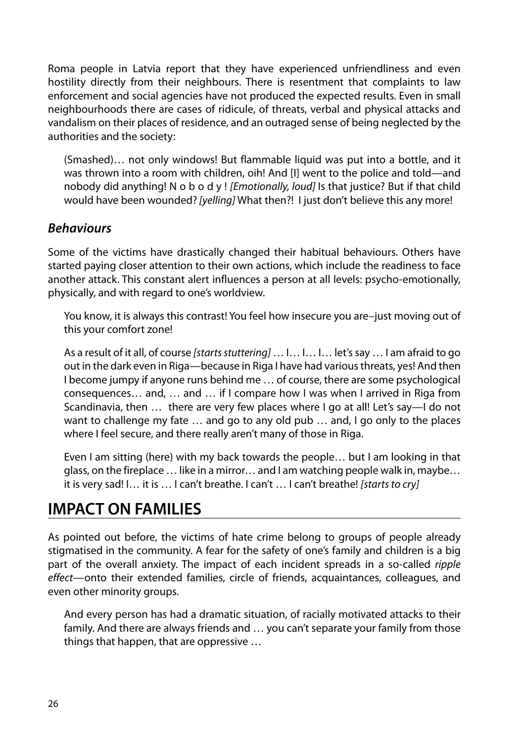Roma people in Latvia report that they have experienced unfriendliness and even hostility directly from their neighbours. There is resentment that complaints to law enforcement and social agencies have not produced the expected results. Even in small neighbourhoods there are cases of ridicule, of threats, verbal and physical attacks and vandalism on their places of residence, and an outraged sense of being neglected by the authorities and the society:

(Smashed)… not only windows! But flammable liquid was put into a bottle, and it was thrown into a room with children, oih! And [I] went to the police and told—and nobody did anything! N o b o d y ! *[Emotionally, loud]* Is that justice? But if that child would have been wounded? *[yelling]* What then?! I just don't believe this any more!

#### *Behaviours*

Some of the victims have drastically changed their habitual behaviours. Others have started paying closer attention to their own actions, which include the readiness to face another attack. This constant alert influences a person at all levels: psycho-emotionally, physically, and with regard to one's worldview.

You know, it is always this contrast! You feel how insecure you are–just moving out of this your comfort zone!

As a result of it all, of course *[starts stuttering]* … I… I… I… let's say … I am afraid to go out in the dark even in Riga—because in Riga I have had various threats, yes! And then I become jumpy if anyone runs behind me … of course, there are some psychological consequences… and, … and … if I compare how I was when I arrived in Riga from Scandinavia, then … there are very few places where I go at all! Let's say—I do not want to challenge my fate … and go to any old pub … and, I go only to the places where I feel secure, and there really aren't many of those in Riga.

Even I am sitting (here) with my back towards the people… but I am looking in that glass, on the fireplace … like in a mirror… and I am watching people walk in, maybe… it is very sad! I… it is … I can't breathe. I can't … I can't breathe! *[starts to cry]*

# **IMPACT ON FAMILIES**

As pointed out before, the victims of hate crime belong to groups of people already stigmatised in the community. A fear for the safety of one's family and children is a big part of the overall anxiety. The impact of each incident spreads in a so-called *ripple effect*—onto their extended families, circle of friends, acquaintances, colleagues, and even other minority groups.

And every person has had a dramatic situation, of racially motivated attacks to their family. And there are always friends and … you can't separate your family from those things that happen, that are oppressive …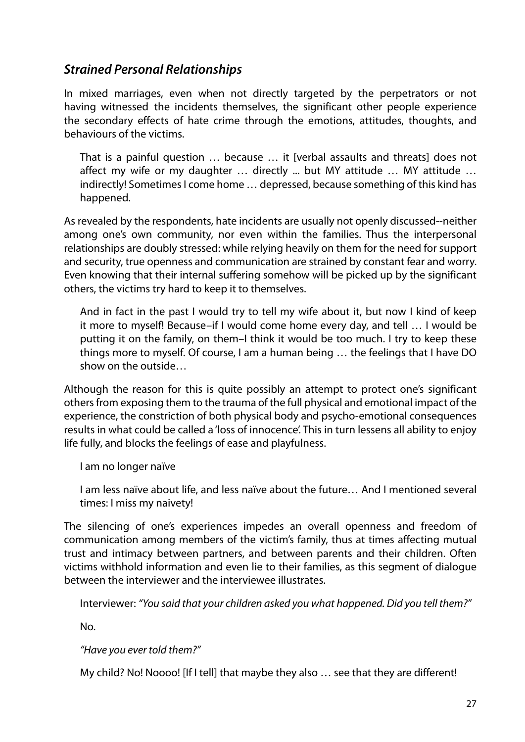#### *Strained Personal Relationships*

In mixed marriages, even when not directly targeted by the perpetrators or not having witnessed the incidents themselves, the significant other people experience the secondary effects of hate crime through the emotions, attitudes, thoughts, and behaviours of the victims.

That is a painful question … because … it [verbal assaults and threats] does not affect my wife or my daughter … directly ... but MY attitude … MY attitude … indirectly! Sometimes I come home … depressed, because something of this kind has happened.

As revealed by the respondents, hate incidents are usually not openly discussed--neither among one's own community, nor even within the families. Thus the interpersonal relationships are doubly stressed: while relying heavily on them for the need for support and security, true openness and communication are strained by constant fear and worry. Even knowing that their internal suffering somehow will be picked up by the significant others, the victims try hard to keep it to themselves.

And in fact in the past I would try to tell my wife about it, but now I kind of keep it more to myself! Because–if I would come home every day, and tell … I would be putting it on the family, on them–I think it would be too much. I try to keep these things more to myself. Of course, I am a human being … the feelings that I have DO show on the outside…

Although the reason for this is quite possibly an attempt to protect one's significant others from exposing them to the trauma of the full physical and emotional impact of the experience, the constriction of both physical body and psycho-emotional consequences results in what could be called a 'loss of innocence'. This in turn lessens all ability to enjoy life fully, and blocks the feelings of ease and playfulness.

I am no longer naïve

I am less naïve about life, and less naïve about the future… And I mentioned several times: I miss my naivety!

The silencing of one's experiences impedes an overall openness and freedom of communication among members of the victim's family, thus at times affecting mutual trust and intimacy between partners, and between parents and their children. Often victims withhold information and even lie to their families, as this segment of dialogue between the interviewer and the interviewee illustrates.

Interviewer: *"You said that your children asked you what happened. Did you tell them?"*

No.

*"Have you ever told them?"* 

My child? No! Noooo! [If I tell] that maybe they also … see that they are different!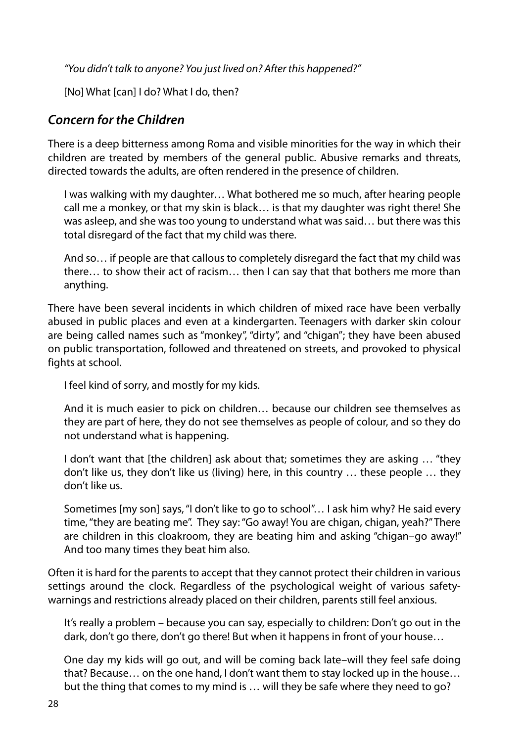*"You didn't talk to anyone? You just lived on? After this happened?"*

[No] What [can] I do? What I do, then?

#### *Concern for the Children*

There is a deep bitterness among Roma and visible minorities for the way in which their children are treated by members of the general public. Abusive remarks and threats, directed towards the adults, are often rendered in the presence of children.

I was walking with my daughter… What bothered me so much, after hearing people call me a monkey, or that my skin is black… is that my daughter was right there! She was asleep, and she was too young to understand what was said… but there was this total disregard of the fact that my child was there.

And so… if people are that callous to completely disregard the fact that my child was there… to show their act of racism… then I can say that that bothers me more than anything.

There have been several incidents in which children of mixed race have been verbally abused in public places and even at a kindergarten. Teenagers with darker skin colour are being called names such as "monkey", "dirty", and "chigan"; they have been abused on public transportation, followed and threatened on streets, and provoked to physical fights at school.

I feel kind of sorry, and mostly for my kids.

And it is much easier to pick on children… because our children see themselves as they are part of here, they do not see themselves as people of colour, and so they do not understand what is happening.

I don't want that [the children] ask about that; sometimes they are asking … "they don't like us, they don't like us (living) here, in this country … these people … they don't like us.

Sometimes [my son] says, "I don't like to go to school"… I ask him why? He said every time, "they are beating me". They say: "Go away! You are chigan, chigan, yeah?" There are children in this cloakroom, they are beating him and asking "chigan–go away!" And too many times they beat him also.

Often it is hard for the parents to accept that they cannot protect their children in various settings around the clock. Regardless of the psychological weight of various safetywarnings and restrictions already placed on their children, parents still feel anxious.

It's really a problem – because you can say, especially to children: Don't go out in the dark, don't go there, don't go there! But when it happens in front of your house…

One day my kids will go out, and will be coming back late–will they feel safe doing that? Because… on the one hand, I don't want them to stay locked up in the house… but the thing that comes to my mind is … will they be safe where they need to go?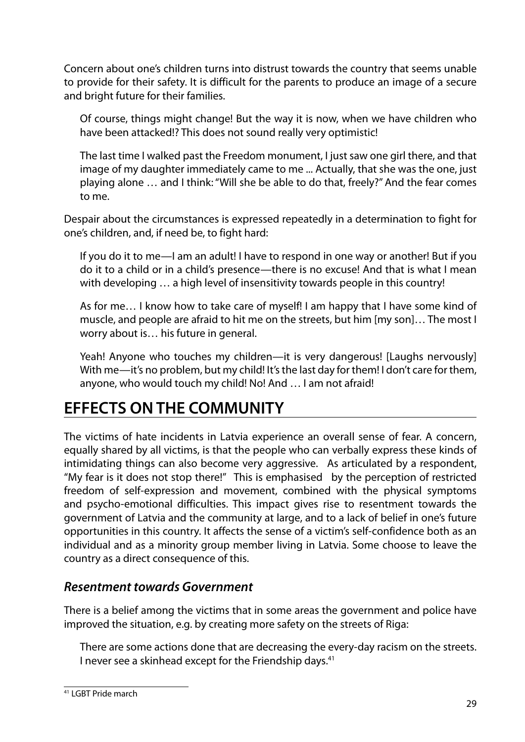Concern about one's children turns into distrust towards the country that seems unable to provide for their safety. It is difficult for the parents to produce an image of a secure and bright future for their families.

Of course, things might change! But the way it is now, when we have children who have been attacked!? This does not sound really very optimistic!

The last time I walked past the Freedom monument, I just saw one girl there, and that image of my daughter immediately came to me ... Actually, that she was the one, just playing alone … and I think: "Will she be able to do that, freely?" And the fear comes to me.

Despair about the circumstances is expressed repeatedly in a determination to fight for one's children, and, if need be, to fight hard:

If you do it to me—I am an adult! I have to respond in one way or another! But if you do it to a child or in a child's presence—there is no excuse! And that is what I mean with developing … a high level of insensitivity towards people in this country!

As for me… I know how to take care of myself! I am happy that I have some kind of muscle, and people are afraid to hit me on the streets, but him [my son]… The most I worry about is… his future in general.

Yeah! Anyone who touches my children—it is very dangerous! [Laughs nervously] With me—it's no problem, but my child! It's the last day for them! I don't care for them, anyone, who would touch my child! No! And … I am not afraid!

# **EFFECTS ON THE COMMUNITY**

The victims of hate incidents in Latvia experience an overall sense of fear. A concern, equally shared by all victims, is that the people who can verbally express these kinds of intimidating things can also become very aggressive. As articulated by a respondent, "My fear is it does not stop there!" This is emphasised by the perception of restricted freedom of self-expression and movement, combined with the physical symptoms and psycho-emotional difficulties. This impact gives rise to resentment towards the government of Latvia and the community at large, and to a lack of belief in one's future opportunities in this country. It affects the sense of a victim's self-confidence both as an individual and as a minority group member living in Latvia. Some choose to leave the country as a direct consequence of this.

#### *Resentment towards Government*

There is a belief among the victims that in some areas the government and police have improved the situation, e.g. by creating more safety on the streets of Riga:

There are some actions done that are decreasing the every-day racism on the streets. I never see a skinhead except for the Friendship days.<sup>41</sup>

<sup>41</sup> LGBT Pride march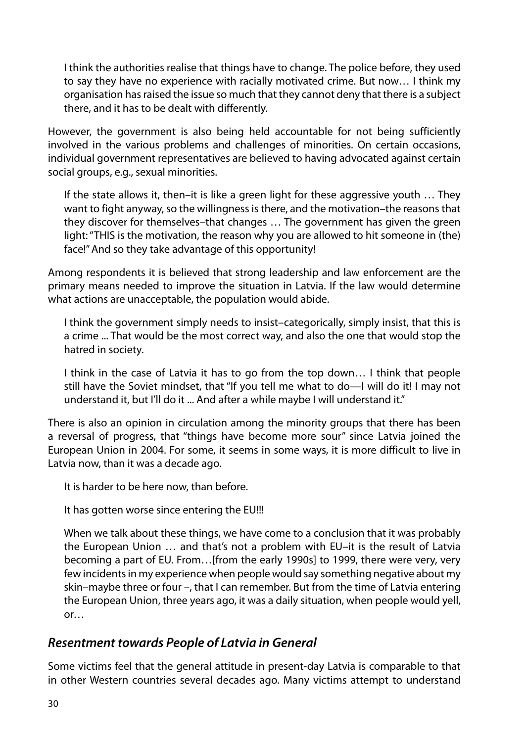I think the authorities realise that things have to change. The police before, they used to say they have no experience with racially motivated crime. But now… I think my organisation has raised the issue so much that they cannot deny that there is a subject there, and it has to be dealt with differently.

However, the government is also being held accountable for not being sufficiently involved in the various problems and challenges of minorities. On certain occasions, individual government representatives are believed to having advocated against certain social groups, e.g., sexual minorities.

If the state allows it, then–it is like a green light for these aggressive youth … They want to fight anyway, so the willingness is there, and the motivation–the reasons that they discover for themselves–that changes … The government has given the green light: "THIS is the motivation, the reason why you are allowed to hit someone in (the) face!" And so they take advantage of this opportunity!

Among respondents it is believed that strong leadership and law enforcement are the primary means needed to improve the situation in Latvia. If the law would determine what actions are unacceptable, the population would abide.

I think the government simply needs to insist–categorically, simply insist, that this is a crime ... That would be the most correct way, and also the one that would stop the hatred in society.

I think in the case of Latvia it has to go from the top down… I think that people still have the Soviet mindset, that "If you tell me what to do—I will do it! I may not understand it, but I'll do it ... And after a while maybe I will understand it."

There is also an opinion in circulation among the minority groups that there has been a reversal of progress, that "things have become more sour" since Latvia joined the European Union in 2004. For some, it seems in some ways, it is more difficult to live in Latvia now, than it was a decade ago.

It is harder to be here now, than before.

It has gotten worse since entering the EU!!!

When we talk about these things, we have come to a conclusion that it was probably the European Union … and that's not a problem with EU–it is the result of Latvia becoming a part of EU. From…[from the early 1990s] to 1999, there were very, very few incidents in my experience when people would say something negative about my skin–maybe three or four –, that I can remember. But from the time of Latvia entering the European Union, three years ago, it was a daily situation, when people would yell, or…

#### *Resentment towards People of Latvia in General*

Some victims feel that the general attitude in present-day Latvia is comparable to that in other Western countries several decades ago. Many victims attempt to understand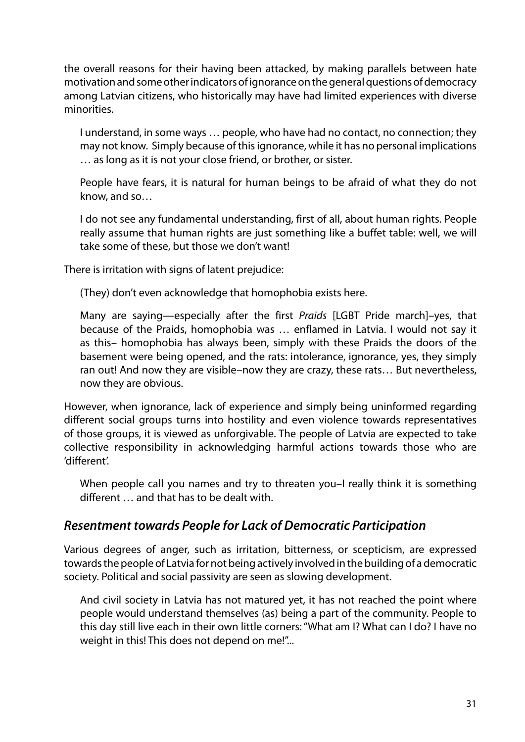the overall reasons for their having been attacked, by making parallels between hate motivation and some other indicators of ignorance on the general questions of democracy among Latvian citizens, who historically may have had limited experiences with diverse minorities.

I understand, in some ways … people, who have had no contact, no connection; they may not know. Simply because of this ignorance, while it has no personal implications … as long as it is not your close friend, or brother, or sister.

People have fears, it is natural for human beings to be afraid of what they do not know, and so…

I do not see any fundamental understanding, first of all, about human rights. People really assume that human rights are just something like a buffet table: well, we will take some of these, but those we don't want!

There is irritation with signs of latent prejudice:

(They) don't even acknowledge that homophobia exists here.

Many are saying—especially after the first *Praids* [LGBT Pride march]–yes, that because of the Praids, homophobia was … enflamed in Latvia. I would not say it as this– homophobia has always been, simply with these Praids the doors of the basement were being opened, and the rats: intolerance, ignorance, yes, they simply ran out! And now they are visible–now they are crazy, these rats… But nevertheless, now they are obvious.

However, when ignorance, lack of experience and simply being uninformed regarding different social groups turns into hostility and even violence towards representatives of those groups, it is viewed as unforgivable. The people of Latvia are expected to take collective responsibility in acknowledging harmful actions towards those who are 'different'.

When people call you names and try to threaten you-I really think it is something different … and that has to be dealt with.

#### *Resentment towards People for Lack of Democratic Participation*

Various degrees of anger, such as irritation, bitterness, or scepticism, are expressed towards the people of Latvia for not being actively involved in the building of a democratic society. Political and social passivity are seen as slowing development.

And civil society in Latvia has not matured yet, it has not reached the point where people would understand themselves (as) being a part of the community. People to this day still live each in their own little corners: "What am I? What can I do? I have no weight in this! This does not depend on me!"...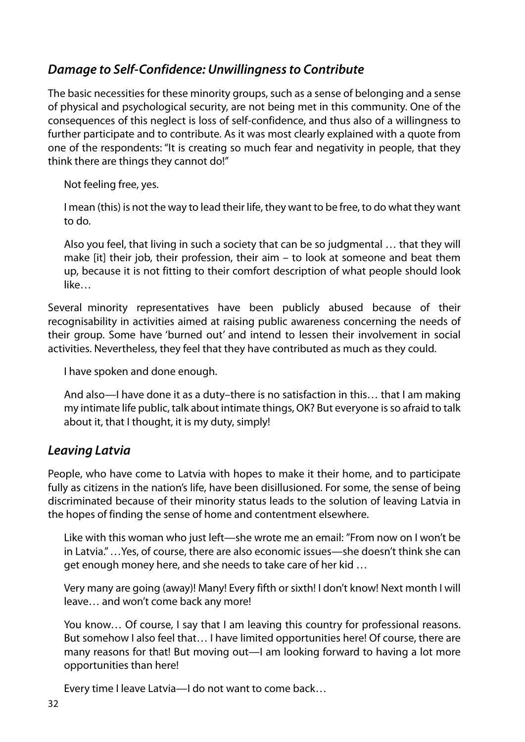## *Damage to Self-Confidence: Unwillingness to Contribute*

The basic necessities for these minority groups, such as a sense of belonging and a sense of physical and psychological security, are not being met in this community. One of the consequences of this neglect is loss of self-confidence, and thus also of a willingness to further participate and to contribute. As it was most clearly explained with a quote from one of the respondents: "It is creating so much fear and negativity in people, that they think there are things they cannot do!"

Not feeling free, yes.

I mean (this) is not the way to lead their life, they want to be free, to do what they want to do.

Also you feel, that living in such a society that can be so judgmental … that they will make [it] their job, their profession, their aim – to look at someone and beat them up, because it is not fitting to their comfort description of what people should look like…

Several minority representatives have been publicly abused because of their recognisability in activities aimed at raising public awareness concerning the needs of their group. Some have 'burned out' and intend to lessen their involvement in social activities. Nevertheless, they feel that they have contributed as much as they could.

I have spoken and done enough.

And also—I have done it as a duty–there is no satisfaction in this… that I am making my intimate life public, talk about intimate things, OK? But everyone is so afraid to talk about it, that I thought, it is my duty, simply!

#### *Leaving Latvia*

People, who have come to Latvia with hopes to make it their home, and to participate fully as citizens in the nation's life, have been disillusioned. For some, the sense of being discriminated because of their minority status leads to the solution of leaving Latvia in the hopes of finding the sense of home and contentment elsewhere.

Like with this woman who just left—she wrote me an email: "From now on I won't be in Latvia." …Yes, of course, there are also economic issues—she doesn't think she can get enough money here, and she needs to take care of her kid …

Very many are going (away)! Many! Every fifth or sixth! I don't know! Next month I will leave… and won't come back any more!

You know… Of course, I say that I am leaving this country for professional reasons. But somehow I also feel that… I have limited opportunities here! Of course, there are many reasons for that! But moving out—I am looking forward to having a lot more opportunities than here!

Every time I leave Latvia—I do not want to come back…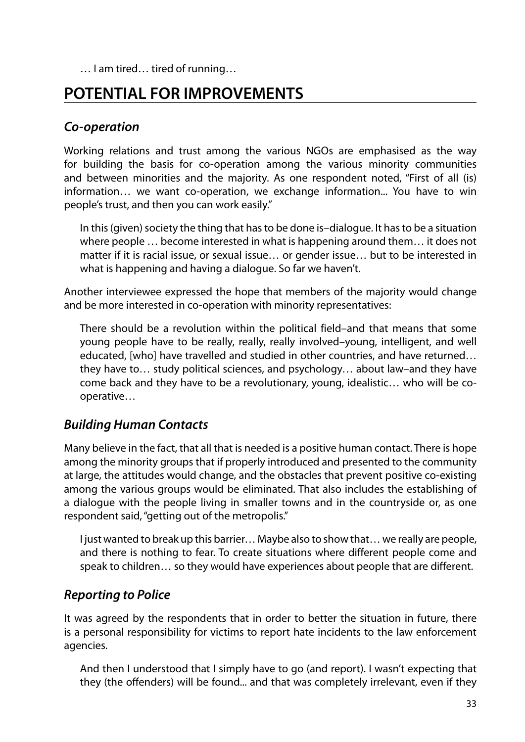… I am tired… tired of running…

# **POTENTIAL FOR IMPROVEMENTS**

#### *Co-operation*

Working relations and trust among the various NGOs are emphasised as the way for building the basis for co-operation among the various minority communities and between minorities and the majority. As one respondent noted, "First of all (is) information… we want co-operation, we exchange information... You have to win people's trust, and then you can work easily."

In this (given) society the thing that has to be done is–dialogue. It has to be a situation where people … become interested in what is happening around them… it does not matter if it is racial issue, or sexual issue… or gender issue… but to be interested in what is happening and having a dialogue. So far we haven't.

Another interviewee expressed the hope that members of the majority would change and be more interested in co-operation with minority representatives:

There should be a revolution within the political field–and that means that some young people have to be really, really, really involved–young, intelligent, and well educated, [who] have travelled and studied in other countries, and have returned… they have to… study political sciences, and psychology… about law–and they have come back and they have to be a revolutionary, young, idealistic… who will be cooperative…

#### *Building Human Contacts*

Many believe in the fact, that all that is needed is a positive human contact. There is hope among the minority groups that if properly introduced and presented to the community at large, the attitudes would change, and the obstacles that prevent positive co-existing among the various groups would be eliminated. That also includes the establishing of a dialogue with the people living in smaller towns and in the countryside or, as one respondent said, "getting out of the metropolis."

I just wanted to break up this barrier… Maybe also to show that… we really are people, and there is nothing to fear. To create situations where different people come and speak to children… so they would have experiences about people that are different.

#### *Reporting to Police*

It was agreed by the respondents that in order to better the situation in future, there is a personal responsibility for victims to report hate incidents to the law enforcement agencies.

And then I understood that I simply have to go (and report). I wasn't expecting that they (the offenders) will be found... and that was completely irrelevant, even if they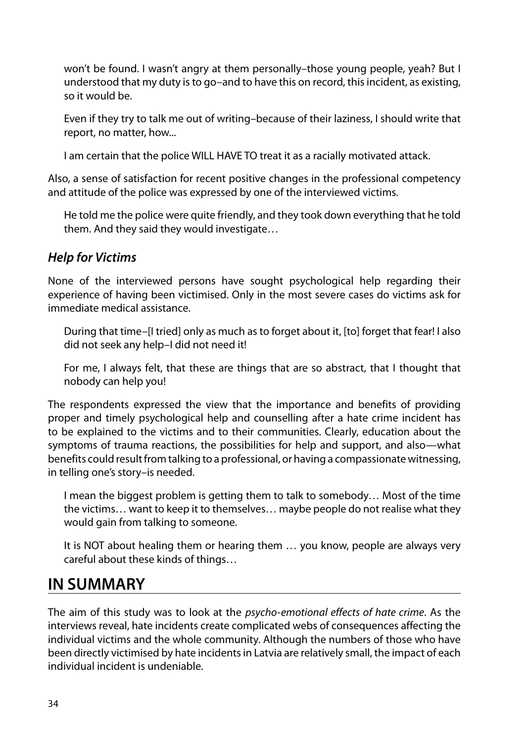won't be found. I wasn't angry at them personally–those young people, yeah? But I understood that my duty is to go–and to have this on record, this incident, as existing, so it would be.

Even if they try to talk me out of writing–because of their laziness, I should write that report, no matter, how...

I am certain that the police WILL HAVE TO treat it as a racially motivated attack.

Also, a sense of satisfaction for recent positive changes in the professional competency and attitude of the police was expressed by one of the interviewed victims.

He told me the police were quite friendly, and they took down everything that he told them. And they said they would investigate…

## *Help for Victims*

None of the interviewed persons have sought psychological help regarding their experience of having been victimised. Only in the most severe cases do victims ask for immediate medical assistance.

During that time–[I tried] only as much as to forget about it, [to] forget that fear! I also did not seek any help–I did not need it!

For me, I always felt, that these are things that are so abstract, that I thought that nobody can help you!

The respondents expressed the view that the importance and benefits of providing proper and timely psychological help and counselling after a hate crime incident has to be explained to the victims and to their communities. Clearly, education about the symptoms of trauma reactions, the possibilities for help and support, and also—what benefits could result from talking to a professional, or having a compassionate witnessing, in telling one's story–is needed.

I mean the biggest problem is getting them to talk to somebody… Most of the time the victims… want to keep it to themselves… maybe people do not realise what they would gain from talking to someone.

It is NOT about healing them or hearing them … you know, people are always very careful about these kinds of things…

# **IN SUMMARY**

The aim of this study was to look at the *psycho-emotional effects of hate crime*. As the interviews reveal, hate incidents create complicated webs of consequences affecting the individual victims and the whole community. Although the numbers of those who have been directly victimised by hate incidents in Latvia are relatively small, the impact of each individual incident is undeniable.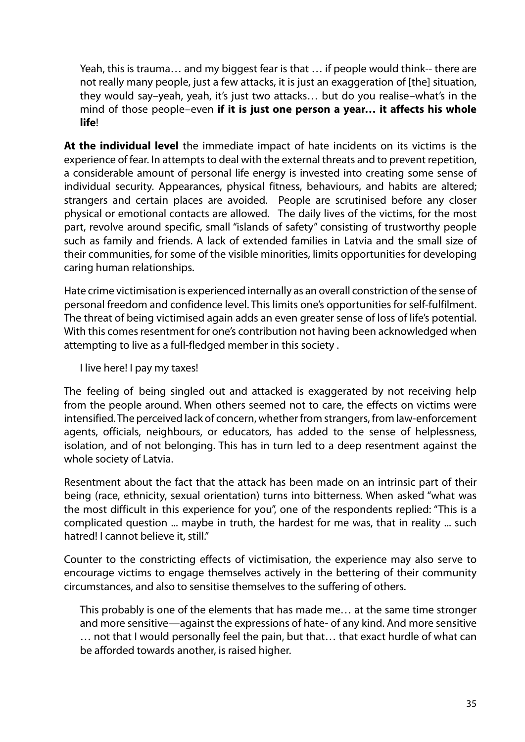Yeah, this is trauma… and my biggest fear is that … if people would think-- there are not really many people, just a few attacks, it is just an exaggeration of [the] situation, they would say–yeah, yeah, it's just two attacks… but do you realise–what's in the mind of those people–even **if it is just one person a year… it affects his whole life**!

**At the individual level** the immediate impact of hate incidents on its victims is the experience of fear. In attempts to deal with the external threats and to prevent repetition, a considerable amount of personal life energy is invested into creating some sense of individual security. Appearances, physical fitness, behaviours, and habits are altered; strangers and certain places are avoided. People are scrutinised before any closer physical or emotional contacts are allowed. The daily lives of the victims, for the most part, revolve around specific, small "islands of safety" consisting of trustworthy people such as family and friends. A lack of extended families in Latvia and the small size of their communities, for some of the visible minorities, limits opportunities for developing caring human relationships.

Hate crime victimisation is experienced internally as an overall constriction of the sense of personal freedom and confidence level. This limits one's opportunities for self-fulfilment. The threat of being victimised again adds an even greater sense of loss of life's potential. With this comes resentment for one's contribution not having been acknowledged when attempting to live as a full-fledged member in this society .

I live here! I pay my taxes!

The feeling of being singled out and attacked is exaggerated by not receiving help from the people around. When others seemed not to care, the effects on victims were intensified. The perceived lack of concern, whether from strangers, from law-enforcement agents, officials, neighbours, or educators, has added to the sense of helplessness, isolation, and of not belonging. This has in turn led to a deep resentment against the whole society of Latvia.

Resentment about the fact that the attack has been made on an intrinsic part of their being (race, ethnicity, sexual orientation) turns into bitterness. When asked "what was the most difficult in this experience for you", one of the respondents replied: "This is a complicated question ... maybe in truth, the hardest for me was, that in reality ... such hatred! I cannot believe it, still."

Counter to the constricting effects of victimisation, the experience may also serve to encourage victims to engage themselves actively in the bettering of their community circumstances, and also to sensitise themselves to the suffering of others.

This probably is one of the elements that has made me… at the same time stronger and more sensitive—against the expressions of hate- of any kind. And more sensitive … not that I would personally feel the pain, but that… that exact hurdle of what can be afforded towards another, is raised higher.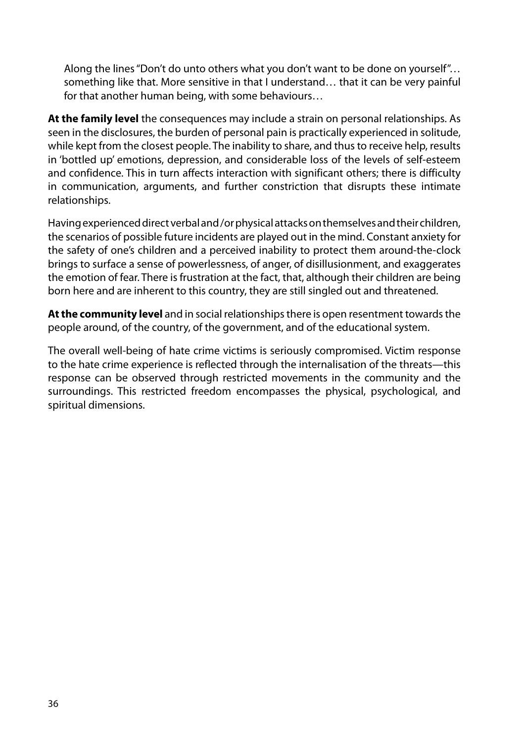Along the lines "Don't do unto others what you don't want to be done on yourself"… something like that. More sensitive in that I understand… that it can be very painful for that another human being, with some behaviours…

**At the family level** the consequences may include a strain on personal relationships. As seen in the disclosures, the burden of personal pain is practically experienced in solitude, while kept from the closest people. The inability to share, and thus to receive help, results in 'bottled up' emotions, depression, and considerable loss of the levels of self-esteem and confidence. This in turn affects interaction with significant others; there is difficulty in communication, arguments, and further constriction that disrupts these intimate relationships.

Having experienced direct verbal and /or physical attacks on themselves and their children, the scenarios of possible future incidents are played out in the mind. Constant anxiety for the safety of one's children and a perceived inability to protect them around-the-clock brings to surface a sense of powerlessness, of anger, of disillusionment, and exaggerates the emotion of fear. There is frustration at the fact, that, although their children are being born here and are inherent to this country, they are still singled out and threatened.

**At the community level** and in social relationships there is open resentment towards the people around, of the country, of the government, and of the educational system.

The overall well-being of hate crime victims is seriously compromised. Victim response to the hate crime experience is reflected through the internalisation of the threats—this response can be observed through restricted movements in the community and the surroundings. This restricted freedom encompasses the physical, psychological, and spiritual dimensions.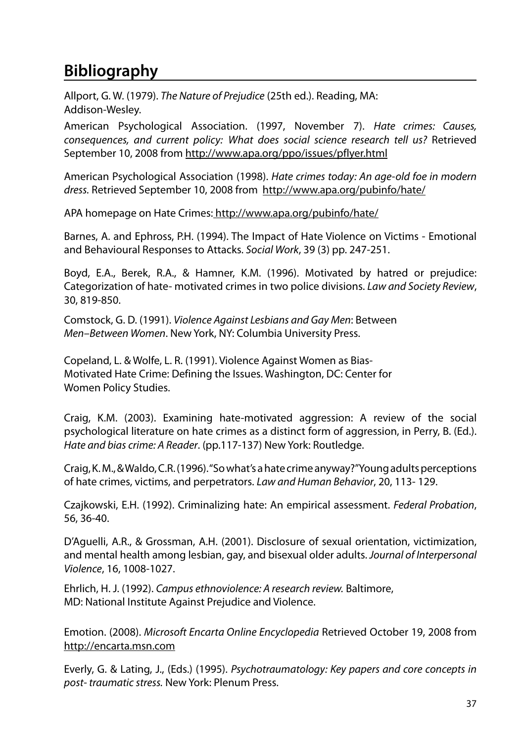# **Bibliography**

Allport, G. W. (1979). *The Nature of Prejudice* (25th ed.). Reading, MA: Addison-Wesley.

American Psychological Association. (1997, November 7). *Hate crimes: Causes, consequences, and current policy: What does social science research tell us?* Retrieved September 10, 2008 from http://www.apa.org/ppo/issues/pflyer.html

American Psychological Association (1998). *Hate crimes today: An age-old foe in modern dress.* Retrieved September 10, 2008 from http://www.apa.org/pubinfo/hate/

APA homepage on Hate Crimes: http://www.apa.org/pubinfo/hate/

Barnes, A. and Ephross, P.H. (1994). The Impact of Hate Violence on Victims - Emotional and Behavioural Responses to Attacks. *Social Work*, 39 (3) pp. 247-251.

Boyd, E.A., Berek, R.A., & Hamner, K.M. (1996). Motivated by hatred or prejudice: Categorization of hate- motivated crimes in two police divisions. *Law and Society Review*, 30, 819-850.

Comstock, G. D. (1991). *Violence Against Lesbians and Gay Men*: Between *Men–Between Women*. New York, NY: Columbia University Press.

Copeland, L. & Wolfe, L. R. (1991). Violence Against Women as Bias-Motivated Hate Crime: Defining the Issues. Washington, DC: Center for Women Policy Studies.

Craig, K.M. (2003). Examining hate-motivated aggression: A review of the social psychological literature on hate crimes as a distinct form of aggression, in Perry, B. (Ed.). *Hate and bias crime: A Reader*. (pp.117-137) New York: Routledge.

Craig, K. M., & Waldo, C.R. (1996). "So what's a hate crime anyway?" Young adults perceptions of hate crimes, victims, and perpetrators. *Law and Human Behavior*, 20, 113- 129.

Czajkowski, E.H. (1992). Criminalizing hate: An empirical assessment. *Federal Probation*, 56, 36-40.

D'Aguelli, A.R., & Grossman, A.H. (2001). Disclosure of sexual orientation, victimization, and mental health among lesbian, gay, and bisexual older adults. *Journal of Interpersonal Violence*, 16, 1008-1027.

Ehrlich, H. J. (1992). *Campus ethnoviolence: A research review.* Baltimore, MD: National Institute Against Prejudice and Violence.

Emotion. (2008). *Microsoft Encarta Online Encyclopedia* Retrieved October 19, 2008 from http://encarta.msn.com

Everly, G. & Lating, J., (Eds.) (1995). *Psychotraumatology: Key papers and core concepts in post- traumatic stress.* New York: Plenum Press.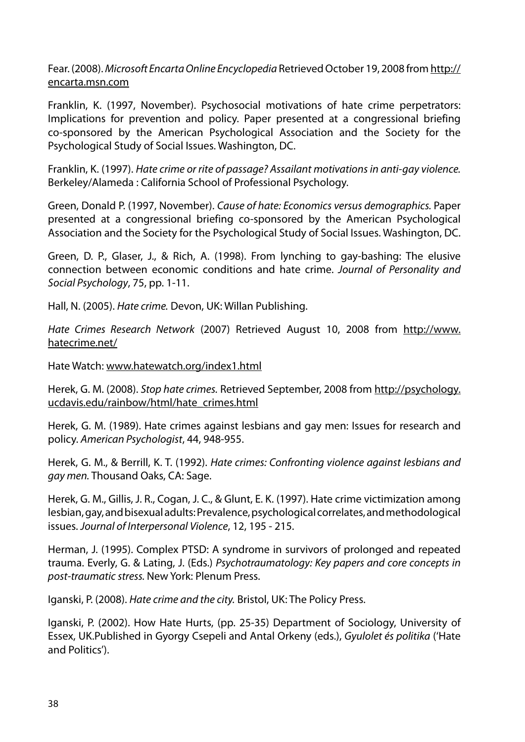Fear. (2008). *Microsoft Encarta Online Encyclopedia* Retrieved October 19, 2008 from http:// encarta.msn.com

Franklin, K. (1997, November). Psychosocial motivations of hate crime perpetrators: Implications for prevention and policy. Paper presented at a congressional briefing co-sponsored by the American Psychological Association and the Society for the Psychological Study of Social Issues. Washington, DC.

Franklin, K. (1997). *Hate crime or rite of passage? Assailant motivations in anti-gay violence.* Berkeley/Alameda : California School of Professional Psychology.

Green, Donald P. (1997, November). *Cause of hate: Economics versus demographics.* Paper presented at a congressional briefing co-sponsored by the American Psychological Association and the Society for the Psychological Study of Social Issues. Washington, DC.

Green, D. P., Glaser, J., & Rich, A. (1998). From lynching to gay-bashing: The elusive connection between economic conditions and hate crime. *Journal of Personality and Social Psychology*, 75, pp. 1-11.

Hall, N. (2005). *Hate crime.* Devon, UK: Willan Publishing.

*Hate Crimes Research Network* (2007) Retrieved August 10, 2008 from http://www. hatecrime.net/

Hate Watch: www.hatewatch.org/index1.html

Herek, G. M. (2008). *Stop hate crimes.* Retrieved September, 2008 from http://psychology. ucdavis.edu/rainbow/html/hate\_crimes.html

Herek, G. M. (1989). Hate crimes against lesbians and gay men: Issues for research and policy. *American Psychologist*, 44, 948-955.

Herek, G. M., & Berrill, K. T. (1992). *Hate crimes: Confronting violence against lesbians and gay men.* Thousand Oaks, CA: Sage.

Herek, G. M., Gillis, J. R., Cogan, J. C., & Glunt, E. K. (1997). Hate crime victimization among lesbian, gay, and bisexual adults: Prevalence, psychological correlates, and methodological issues. *Journal of Interpersonal Violence*, 12, 195 - 215.

Herman, J. (1995). Complex PTSD: A syndrome in survivors of prolonged and repeated trauma. Everly, G. & Lating, J. (Eds.) *Psychotraumatology: Key papers and core concepts in post-traumatic stress.* New York: Plenum Press.

Iganski, P. (2008). *Hate crime and the city.* Bristol, UK: The Policy Press.

Iganski, P. (2002). How Hate Hurts, (pp. 25-35) Department of Sociology, University of Essex, UK.Published in Gyorgy Csepeli and Antal Orkeny (eds.), *Gyulolet és politika* ('Hate and Politics').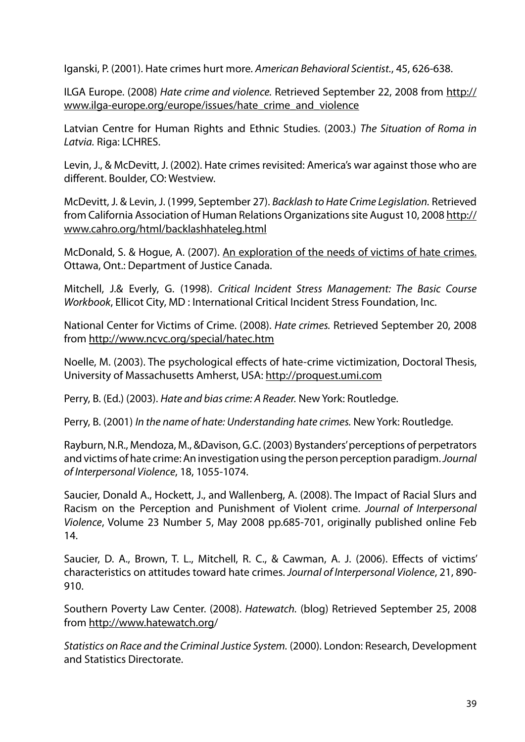Iganski, P. (2001). Hate crimes hurt more. *American Behavioral Scientist.*, 45, 626-638.

ILGA Europe. (2008) *Hate crime and violence.* Retrieved September 22, 2008 from http:// www.ilga-europe.org/europe/issues/hate\_crime\_and\_violence

Latvian Centre for Human Rights and Ethnic Studies. (2003.) *The Situation of Roma in Latvia.* Riga: LCHRES.

Levin, J., & McDevitt, J. (2002). Hate crimes revisited: America's war against those who are different. Boulder, CO: Westview.

McDevitt, J. & Levin, J. (1999, September 27). *Backlash to Hate Crime Legislation.* Retrieved from California Association of Human Relations Organizations site August 10, 2008 http:// www.cahro.org/html/backlashhateleg.html

McDonald, S. & Hogue, A. (2007). An exploration of the needs of victims of hate crimes. Ottawa, Ont.: Department of Justice Canada.

Mitchell, J.& Everly, G. (1998). *Critical Incident Stress Management: The Basic Course Workbook*, Ellicot City, MD : International Critical Incident Stress Foundation, Inc.

National Center for Victims of Crime. (2008). *Hate crimes.* Retrieved September 20, 2008 from http://www.ncvc.org/special/hatec.htm

Noelle, M. (2003). The psychological effects of hate-crime victimization, Doctoral Thesis, University of Massachusetts Amherst, USA: http://proquest.umi.com

Perry, B. (Ed.) (2003). *Hate and bias crime: A Reader.* New York: Routledge.

Perry, B. (2001) *In the name of hate: Understanding hate crimes.* New York: Routledge.

Rayburn, N.R., Mendoza, M., &Davison, G.C. (2003) Bystanders' perceptions of perpetrators and victims of hate crime: An investigation using the person perception paradigm. *Journal of Interpersonal Violence*, 18, 1055-1074.

Saucier, Donald A., Hockett, J., and Wallenberg, A. (2008). The Impact of Racial Slurs and Racism on the Perception and Punishment of Violent crime. *Journal of Interpersonal Violence*, Volume 23 Number 5, May 2008 pp.685-701, originally published online Feb 14.

Saucier, D. A., Brown, T. L., Mitchell, R. C., & Cawman, A. J. (2006). Effects of victims' characteristics on attitudes toward hate crimes. *Journal of Interpersonal Violence*, 21, 890- 910.

Southern Poverty Law Center. (2008). *Hatewatch.* (blog) Retrieved September 25, 2008 from http://www.hatewatch.org/

*Statistics on Race and the Criminal Justice System.* (2000). London: Research, Development and Statistics Directorate.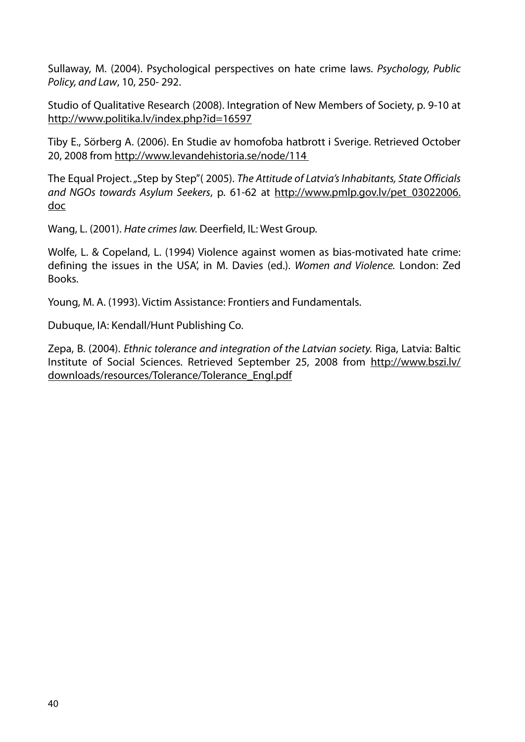Sullaway, M. (2004). Psychological perspectives on hate crime laws. *Psychology, Public Policy, and Law*, 10, 250- 292.

Studio of Qualitative Research (2008). Integration of New Members of Society, p. 9-10 at http://www.politika.lv/index.php?id=16597

Tiby E., Sörberg A. (2006). En Studie av homofoba hatbrott i Sverige. Retrieved October 20, 2008 from http://www.levandehistoria.se/node/114

The Equal Project. "Step by Step"( 2005). *The Attitude of Latvia's Inhabitants, State Officials and NGOs towards Asylum Seekers*, p. 61-62 at http://www.pmlp.gov.lv/pet\_03022006. doc

Wang, L. (2001). *Hate crimes law.* Deerfield, IL: West Group.

Wolfe, L. & Copeland, L. (1994) Violence against women as bias-motivated hate crime: defining the issues in the USA', in M. Davies (ed.). *Women and Violence.* London: Zed Books.

Young, M. A. (1993). Victim Assistance: Frontiers and Fundamentals.

Dubuque, IA: Kendall/Hunt Publishing Co.

Zepa, B. (2004). *Ethnic tolerance and integration of the Latvian society.* Riga, Latvia: Baltic Institute of Social Sciences. Retrieved September 25, 2008 from http://www.bszi.lv/ downloads/resources/Tolerance/Tolerance\_Engl.pdf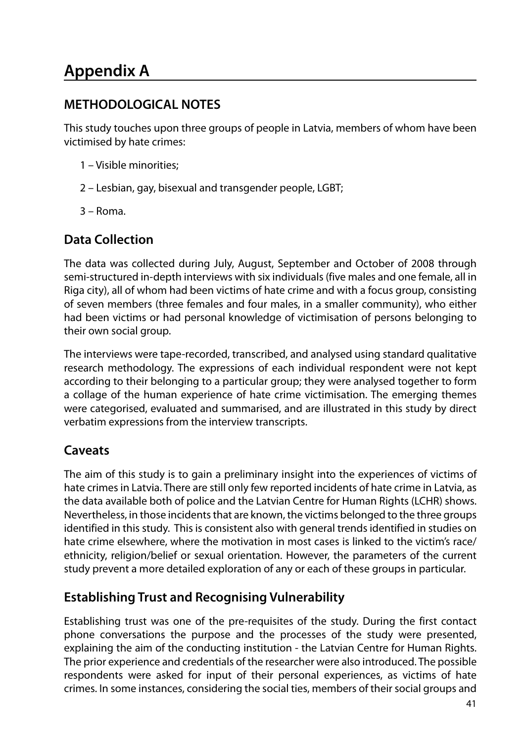# **Appendix A**

## **METHODOLOGICAL NOTES**

This study touches upon three groups of people in Latvia, members of whom have been victimised by hate crimes:

- 1 Visible minorities;
- 2 Lesbian, gay, bisexual and transgender people, LGBT;
- 3 Roma.

## **Data Collection**

The data was collected during July, August, September and October of 2008 through semi-structured in-depth interviews with six individuals (five males and one female, all in Riga city), all of whom had been victims of hate crime and with a focus group, consisting of seven members (three females and four males, in a smaller community), who either had been victims or had personal knowledge of victimisation of persons belonging to their own social group.

The interviews were tape-recorded, transcribed, and analysed using standard qualitative research methodology. The expressions of each individual respondent were not kept according to their belonging to a particular group; they were analysed together to form a collage of the human experience of hate crime victimisation. The emerging themes were categorised, evaluated and summarised, and are illustrated in this study by direct verbatim expressions from the interview transcripts.

## **Caveats**

The aim of this study is to gain a preliminary insight into the experiences of victims of hate crimes in Latvia. There are still only few reported incidents of hate crime in Latvia, as the data available both of police and the Latvian Centre for Human Rights (LCHR) shows. Nevertheless, in those incidents that are known, the victims belonged to the three groups identified in this study. This is consistent also with general trends identified in studies on hate crime elsewhere, where the motivation in most cases is linked to the victim's race/ ethnicity, religion/belief or sexual orientation. However, the parameters of the current study prevent a more detailed exploration of any or each of these groups in particular.

## **Establishing Trust and Recognising Vulnerability**

Establishing trust was one of the pre-requisites of the study. During the first contact phone conversations the purpose and the processes of the study were presented, explaining the aim of the conducting institution - the Latvian Centre for Human Rights. The prior experience and credentials of the researcher were also introduced. The possible respondents were asked for input of their personal experiences, as victims of hate crimes. In some instances, considering the social ties, members of their social groups and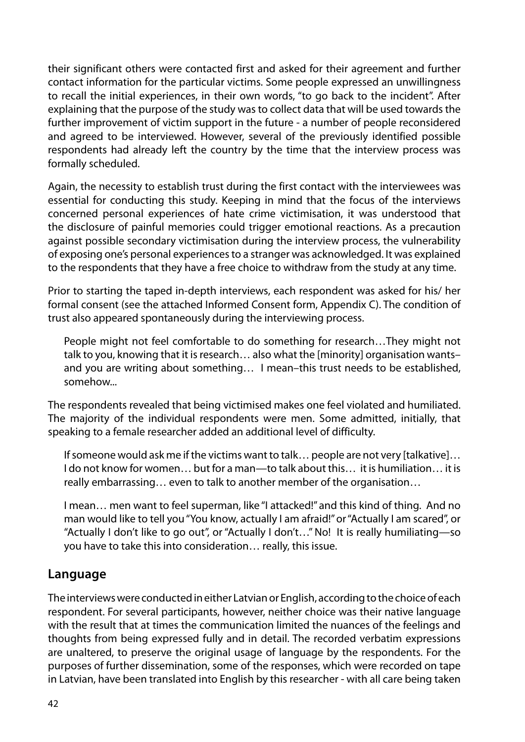their significant others were contacted first and asked for their agreement and further contact information for the particular victims. Some people expressed an unwillingness to recall the initial experiences, in their own words, "to go back to the incident". After explaining that the purpose of the study was to collect data that will be used towards the further improvement of victim support in the future - a number of people reconsidered and agreed to be interviewed. However, several of the previously identified possible respondents had already left the country by the time that the interview process was formally scheduled.

Again, the necessity to establish trust during the first contact with the interviewees was essential for conducting this study. Keeping in mind that the focus of the interviews concerned personal experiences of hate crime victimisation, it was understood that the disclosure of painful memories could trigger emotional reactions. As a precaution against possible secondary victimisation during the interview process, the vulnerability of exposing one's personal experiences to a stranger was acknowledged. It was explained to the respondents that they have a free choice to withdraw from the study at any time.

Prior to starting the taped in-depth interviews, each respondent was asked for his/ her formal consent (see the attached Informed Consent form, Appendix C). The condition of trust also appeared spontaneously during the interviewing process.

People might not feel comfortable to do something for research…They might not talk to you, knowing that it is research… also what the [minority] organisation wants– and you are writing about something… I mean–this trust needs to be established, somehow...

The respondents revealed that being victimised makes one feel violated and humiliated. The majority of the individual respondents were men. Some admitted, initially, that speaking to a female researcher added an additional level of difficulty.

If someone would ask me if the victims want to talk… people are not very [talkative]… I do not know for women… but for a man—to talk about this… it is humiliation… it is really embarrassing… even to talk to another member of the organisation…

I mean… men want to feel superman, like "I attacked!" and this kind of thing. And no man would like to tell you "You know, actually I am afraid!" or "Actually I am scared", or "Actually I don't like to go out", or "Actually I don't…" No! It is really humiliating—so you have to take this into consideration… really, this issue.

#### **Language**

The interviews were conducted in either Latvian or English, according to the choice of each respondent. For several participants, however, neither choice was their native language with the result that at times the communication limited the nuances of the feelings and thoughts from being expressed fully and in detail. The recorded verbatim expressions are unaltered, to preserve the original usage of language by the respondents. For the purposes of further dissemination, some of the responses, which were recorded on tape in Latvian, have been translated into English by this researcher - with all care being taken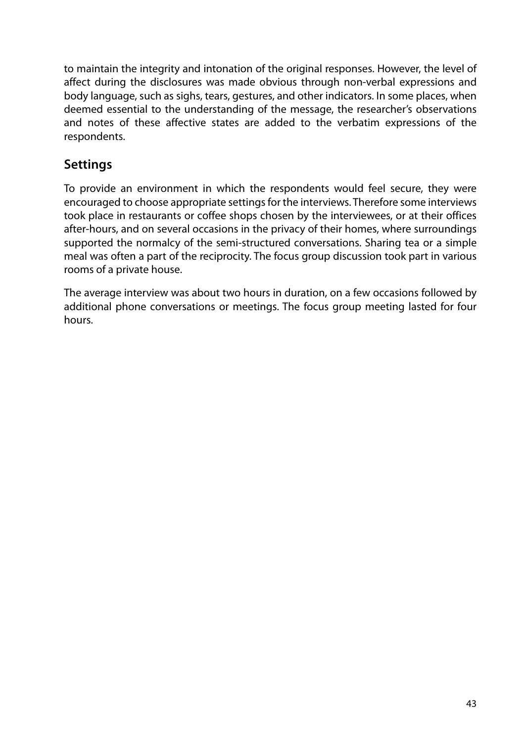to maintain the integrity and intonation of the original responses. However, the level of affect during the disclosures was made obvious through non-verbal expressions and body language, such as sighs, tears, gestures, and other indicators. In some places, when deemed essential to the understanding of the message, the researcher's observations and notes of these affective states are added to the verbatim expressions of the respondents.

## **Settings**

To provide an environment in which the respondents would feel secure, they were encouraged to choose appropriate settings for the interviews. Therefore some interviews took place in restaurants or coffee shops chosen by the interviewees, or at their offices after-hours, and on several occasions in the privacy of their homes, where surroundings supported the normalcy of the semi-structured conversations. Sharing tea or a simple meal was often a part of the reciprocity. The focus group discussion took part in various rooms of a private house.

The average interview was about two hours in duration, on a few occasions followed by additional phone conversations or meetings. The focus group meeting lasted for four hours.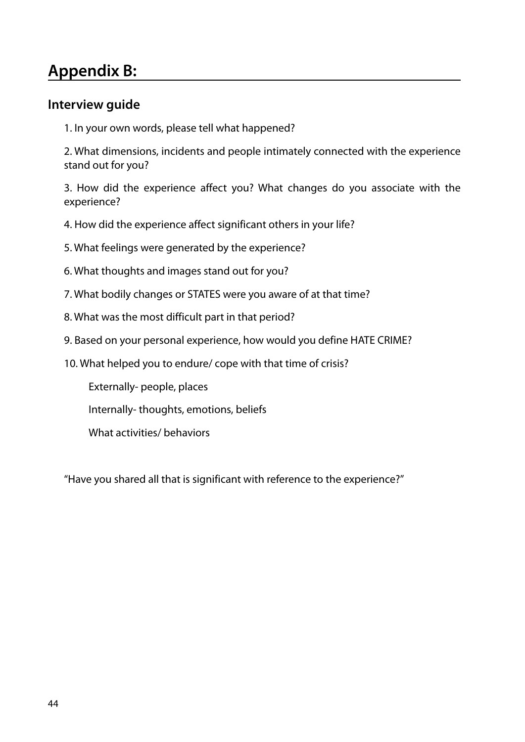# **Appendix B:**

#### **Interview guide**

1. In your own words, please tell what happened?

2. What dimensions, incidents and people intimately connected with the experience stand out for you?

3. How did the experience affect you? What changes do you associate with the experience?

- 4. How did the experience affect significant others in your life?
- 5. What feelings were generated by the experience?
- 6. What thoughts and images stand out for you?
- 7. What bodily changes or STATES were you aware of at that time?
- 8. What was the most difficult part in that period?
- 9. Based on your personal experience, how would you define HATE CRIME?
- 10. What helped you to endure/ cope with that time of crisis?

Externally- people, places

Internally- thoughts, emotions, beliefs

What activities/ behaviors

"Have you shared all that is significant with reference to the experience?"